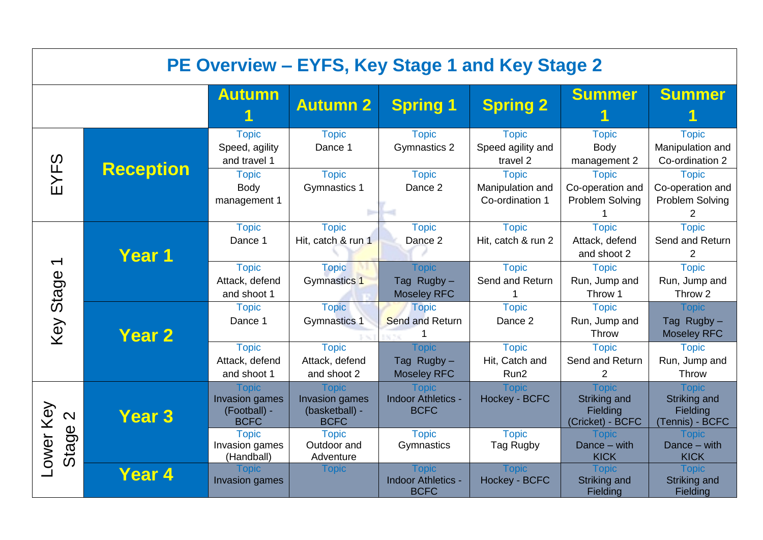|                          | PE Overview - EYFS, Key Stage 1 and Key Stage 2 |                                                               |                                                                        |                                                          |                                                     |                                                              |                                                             |  |  |
|--------------------------|-------------------------------------------------|---------------------------------------------------------------|------------------------------------------------------------------------|----------------------------------------------------------|-----------------------------------------------------|--------------------------------------------------------------|-------------------------------------------------------------|--|--|
|                          |                                                 | <b>Autumn</b>                                                 | <b>Autumn 2</b>                                                        | <b>Spring 1</b>                                          | <b>Spring 2</b>                                     | <b>Summer</b>                                                | <b>Summer</b>                                               |  |  |
|                          | <b>Reception</b>                                | <b>Topic</b><br>Speed, agility<br>and travel 1                | <b>Topic</b><br>Dance 1                                                | <b>Topic</b><br>Gymnastics 2                             | <b>Topic</b><br>Speed agility and<br>travel 2       | <b>Topic</b><br><b>Body</b><br>management 2                  | <b>Topic</b><br>Manipulation and<br>Co-ordination 2         |  |  |
| EYFS                     |                                                 | <b>Topic</b><br>Body<br>management 1                          | <b>Topic</b><br>Gymnastics 1                                           | <b>Topic</b><br>Dance 2                                  | <b>Topic</b><br>Manipulation and<br>Co-ordination 1 | <b>Topic</b><br>Co-operation and<br>Problem Solving          | <b>Topic</b><br>Co-operation and<br>Problem Solving<br>2    |  |  |
|                          | Year 1                                          | <b>Topic</b><br>Dance 1                                       | <b>Topic</b><br>Hit, catch & run 1                                     | <b>Topic</b><br>Dance 2                                  | <b>Topic</b><br>Hit, catch & run 2                  | <b>Topic</b><br>Attack, defend<br>and shoot 2                | <b>Topic</b><br>Send and Return<br>$\overline{2}$           |  |  |
| $\overline{\phantom{0}}$ |                                                 | <b>Topic</b><br>Attack, defend<br>and shoot 1                 | <b>Topic</b><br>Gymnastics 1                                           | <b>Topic</b><br>Tag Rugby-<br><b>Moseley RFC</b>         | <b>Topic</b><br>Send and Return                     | <b>Topic</b><br>Run, Jump and<br>Throw 1                     | <b>Topic</b><br>Run, Jump and<br>Throw 2                    |  |  |
| Key Stage                | <b>Year 2</b>                                   | <b>Topic</b><br>Dance 1                                       | <b>Topic</b><br><b>Gymnastics 1</b>                                    | <b>Topic</b><br><b>Send and Return</b>                   | <b>Topic</b><br>Dance 2                             | <b>Topic</b><br>Run, Jump and<br>Throw                       | <b>Topic</b><br>Tag Rugby-<br><b>Moseley RFC</b>            |  |  |
|                          |                                                 | <b>Topic</b><br>Attack, defend<br>and shoot 1                 | <b>Topic</b><br>Attack, defend<br>and shoot 2                          | <b>Topic</b><br>Tag Rugby-<br><b>Moseley RFC</b>         | <b>Topic</b><br>Hit, Catch and<br>Run <sub>2</sub>  | <b>Topic</b><br>Send and Return<br>$\overline{2}$            | <b>Topic</b><br>Run, Jump and<br>Throw                      |  |  |
| Key<br>$\mathbf{\Omega}$ | <b>Year 3</b>                                   | <b>Topic</b><br>Invasion games<br>(Football) -<br><b>BCFC</b> | <b>Topic</b><br><b>Invasion games</b><br>(basketball) -<br><b>BCFC</b> | <b>Topic</b><br><b>Indoor Athletics -</b><br><b>BCFC</b> | <b>Topic</b><br>Hockey - BCFC                       | <b>Topic</b><br>Striking and<br>Fielding<br>(Cricket) - BCFC | <b>Topic</b><br>Striking and<br>Fielding<br>(Tennis) - BCFC |  |  |
| Stage<br>-ower           |                                                 | <b>Topic</b><br>Invasion games<br>(Handball)                  | <b>Topic</b><br>Outdoor and<br>Adventure                               | <b>Topic</b><br>Gymnastics                               | <b>Topic</b><br>Tag Rugby                           | Topic<br>Dance - with<br><b>KICK</b>                         | <b>Topic</b><br>Dance - with<br><b>KICK</b>                 |  |  |
|                          | Year 4                                          | <b>Topic</b><br><b>Invasion games</b>                         | Topic                                                                  | <b>Topic</b><br><b>Indoor Athletics -</b><br><b>BCFC</b> | <b>Topic</b><br>Hockey - BCFC                       | <b>Topic</b><br>Striking and<br>Fielding                     | <b>Topic</b><br>Striking and<br>Fielding                    |  |  |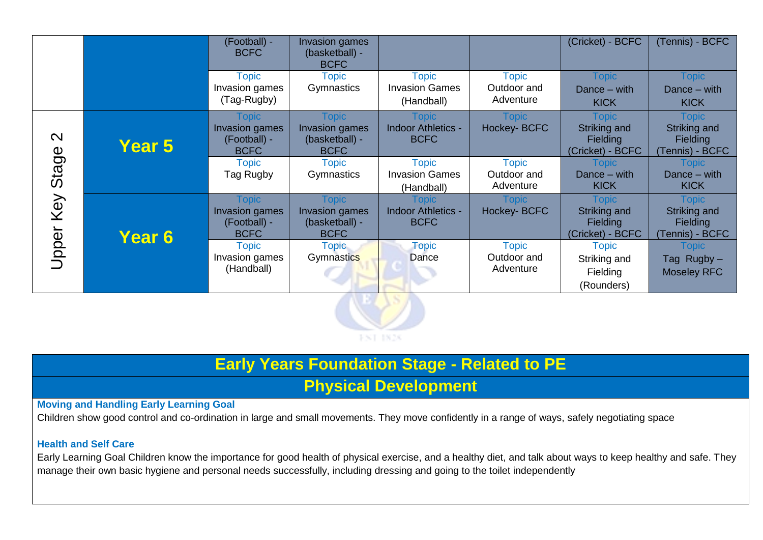|                   |               | (Football) -<br><b>BCFC</b>                                          | <b>Invasion games</b><br>(basketball) -<br><b>BCFC</b>          |                                                     |                                          | (Cricket) - BCFC                                                           | (Tennis) - BCFC                                                    |
|-------------------|---------------|----------------------------------------------------------------------|-----------------------------------------------------------------|-----------------------------------------------------|------------------------------------------|----------------------------------------------------------------------------|--------------------------------------------------------------------|
|                   |               | <b>Topic</b><br>Invasion games<br>(Tag-Rugby)                        | <b>Topic</b><br>Gymnastics                                      | <b>Topic</b><br><b>Invasion Games</b><br>(Handball) | <b>Topic</b><br>Outdoor and<br>Adventure | <b>Topic</b><br>Dance $-$ with<br><b>KICK</b>                              | <b>Topic</b><br>Dance $-$ with<br><b>KICK</b>                      |
| $\mathbf{\Omega}$ | <b>Year 5</b> | Topic<br>Invasion games<br>(Football) -<br><b>BCFC</b>               | <b>Topic</b><br>Invasion games<br>(basketball) -<br><b>BCFC</b> | Topic<br><b>Indoor Athletics -</b><br><b>BCFC</b>   | Topic<br><b>Hockey-BCFC</b>              | Topic<br>Striking and<br><b>Fielding</b><br>(Cricket) - BCFC               | Topic<br>Striking and<br><b>Fielding</b><br>(Tennis) - BCFC        |
| Stage             |               | <b>Topic</b><br>Tag Rugby                                            | <b>Topic</b><br>Gymnastics                                      | <b>Topic</b><br><b>Invasion Games</b><br>(Handball) | <b>Topic</b><br>Outdoor and<br>Adventure | Topic<br>Dance $-$ with<br><b>KICK</b>                                     | Topic<br>Dance $-$ with<br><b>KICK</b>                             |
| Key               | <b>Year 6</b> | <b>Topic</b><br><b>Invasion games</b><br>(Football) -<br><b>BCFC</b> | <b>Topic</b><br>Invasion games<br>(basketball) -<br><b>BCFC</b> | Topic<br><b>Indoor Athletics -</b><br><b>BCFC</b>   | Topic<br><b>Hockey-BCFC</b>              | <b>Topic</b><br><b>Striking and</b><br><b>Fielding</b><br>(Cricket) - BCFC | <b>Topic</b><br>Striking and<br><b>Fielding</b><br>(Tennis) - BCFC |
| Upper             |               | <b>Topic</b><br>Invasion games<br>(Handball)                         | <b>Topic</b><br>Gymnastics                                      | <b>Topic</b><br>Dance                               | <b>Topic</b><br>Outdoor and<br>Adventure | <b>Topic</b><br>Striking and<br>Fielding<br>(Rounders)                     | Topic<br>Tag Rugby-<br><b>Moseley RFC</b>                          |
|                   |               |                                                                      |                                                                 |                                                     |                                          |                                                                            |                                                                    |



# **Early Years Foundation Stage - Related to PE**

# **Physical Development**

### **Moving and Handling Early Learning Goal**

Children show good control and co-ordination in large and small movements. They move confidently in a range of ways, safely negotiating space

#### **Health and Self Care**

Early Learning Goal Children know the importance for good health of physical exercise, and a healthy diet, and talk about ways to keep healthy and safe. They manage their own basic hygiene and personal needs successfully, including dressing and going to the toilet independently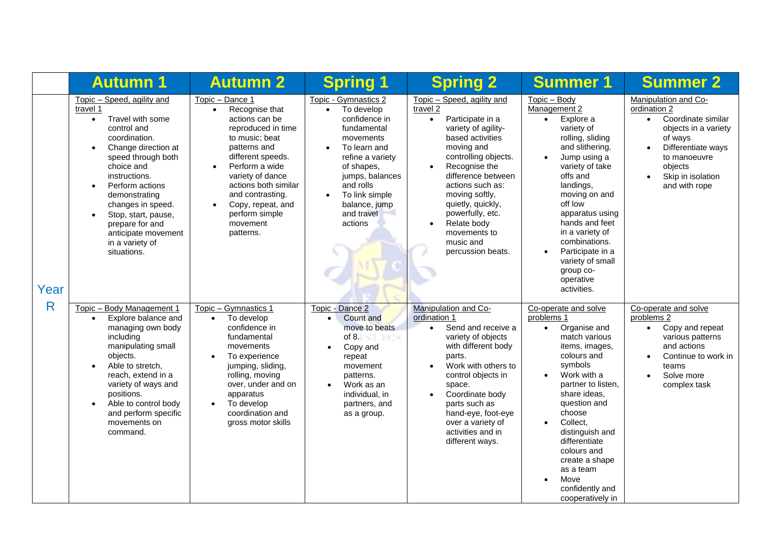|      | <b>Autumn 1</b>                                                                                                                                                                                                                                                                                                                                                                        | <b>Autumn 2</b>                                                                                                                                                                                                                                                                                                           | <b>Spring 1</b>                                                                                                                                                                                                                                                      | <b>Spring 2</b>                                                                                                                                                                                                                                                                                                                                                           | <b>Summer 1</b>                                                                                                                                                                                                                                                                                                                                                                                 | <b>Summer 2</b>                                                                                                                                                                                                |
|------|----------------------------------------------------------------------------------------------------------------------------------------------------------------------------------------------------------------------------------------------------------------------------------------------------------------------------------------------------------------------------------------|---------------------------------------------------------------------------------------------------------------------------------------------------------------------------------------------------------------------------------------------------------------------------------------------------------------------------|----------------------------------------------------------------------------------------------------------------------------------------------------------------------------------------------------------------------------------------------------------------------|---------------------------------------------------------------------------------------------------------------------------------------------------------------------------------------------------------------------------------------------------------------------------------------------------------------------------------------------------------------------------|-------------------------------------------------------------------------------------------------------------------------------------------------------------------------------------------------------------------------------------------------------------------------------------------------------------------------------------------------------------------------------------------------|----------------------------------------------------------------------------------------------------------------------------------------------------------------------------------------------------------------|
| Year | Topic - Speed, agility and<br>travel 1<br>Travel with some<br>$\bullet$<br>control and<br>coordination.<br>Change direction at<br>$\bullet$<br>speed through both<br>choice and<br>instructions.<br>Perform actions<br>$\bullet$<br>demonstrating<br>changes in speed.<br>Stop, start, pause,<br>$\bullet$<br>prepare for and<br>anticipate movement<br>in a variety of<br>situations. | Topic - Dance 1<br>Recognise that<br>$\bullet$<br>actions can be<br>reproduced in time<br>to music; beat<br>patterns and<br>different speeds.<br>Perform a wide<br>$\bullet$<br>variety of dance<br>actions both similar<br>and contrasting.<br>Copy, repeat, and<br>$\bullet$<br>perform simple<br>movement<br>patterns. | Topic - Gymnastics 2<br>To develop<br>$\bullet$<br>confidence in<br>fundamental<br>movements<br>To learn and<br>$\bullet$<br>refine a variety<br>of shapes,<br>jumps, balances<br>and rolls<br>To link simple<br>$\bullet$<br>balance, jump<br>and travel<br>actions | Topic - Speed, agility and<br>travel 2<br>Participate in a<br>$\bullet$<br>variety of agility-<br>based activities<br>moving and<br>controlling objects.<br>Recognise the<br>$\bullet$<br>difference between<br>actions such as:<br>moving softly,<br>quietly, quickly,<br>powerfully, etc.<br>Relate body<br>$\bullet$<br>movements to<br>music and<br>percussion beats. | Topic - Body<br>Management 2<br>Explore a<br>$\bullet$<br>variety of<br>rolling, sliding<br>and slithering.<br>Jump using a<br>$\bullet$<br>variety of take<br>offs and<br>landings,<br>moving on and<br>off low<br>apparatus using<br>hands and feet<br>in a variety of<br>combinations.<br>Participate in a<br>$\bullet$<br>variety of small<br>group co-<br>operative<br>activities.         | Manipulation and Co-<br>ordination 2<br>Coordinate similar<br>$\bullet$<br>objects in a variety<br>of ways<br>Differentiate ways<br>$\bullet$<br>to manoeuvre<br>objects<br>Skip in isolation<br>and with rope |
| R    | Topic - Body Management 1<br>Explore balance and<br>$\bullet$<br>managing own body<br>including<br>manipulating small<br>objects.<br>Able to stretch,<br>$\bullet$<br>reach, extend in a<br>variety of ways and<br>positions.<br>Able to control body<br>$\bullet$<br>and perform specific<br>movements on<br>command.                                                                 | Topic - Gymnastics 1<br>To develop<br>$\bullet$<br>confidence in<br>fundamental<br>movements<br>To experience<br>$\bullet$<br>jumping, sliding,<br>rolling, moving<br>over, under and on<br>apparatus<br>To develop<br>$\bullet$<br>coordination and<br>gross motor skills                                                | Topic - Dance 2<br>Count and<br>$\bullet$<br>move to beats<br>of 8.1 $\times$ 1 $\times$ 3.1<br>Copy and<br>$\bullet$<br>repeat<br>movement<br>patterns.<br>Work as an<br>$\bullet$<br>individual, in<br>partners, and<br>as a group.                                | Manipulation and Co-<br>ordination 1<br>Send and receive a<br>$\bullet$<br>variety of objects<br>with different body<br>parts.<br>Work with others to<br>$\bullet$<br>control objects in<br>space.<br>Coordinate body<br>$\bullet$<br>parts such as<br>hand-eye, foot-eye<br>over a variety of<br>activities and in<br>different ways.                                    | Co-operate and solve<br>problems 1<br>Organise and<br>$\bullet$<br>match various<br>items, images,<br>colours and<br>symbols<br>Work with a<br>$\bullet$<br>partner to listen,<br>share ideas,<br>question and<br>choose<br>Collect,<br>$\bullet$<br>distinguish and<br>differentiate<br>colours and<br>create a shape<br>as a team<br>Move<br>$\bullet$<br>confidently and<br>cooperatively in | Co-operate and solve<br>problems 2<br>Copy and repeat<br>$\bullet$<br>various patterns<br>and actions<br>Continue to work in<br>$\bullet$<br>teams<br>Solve more<br>$\bullet$<br>complex task                  |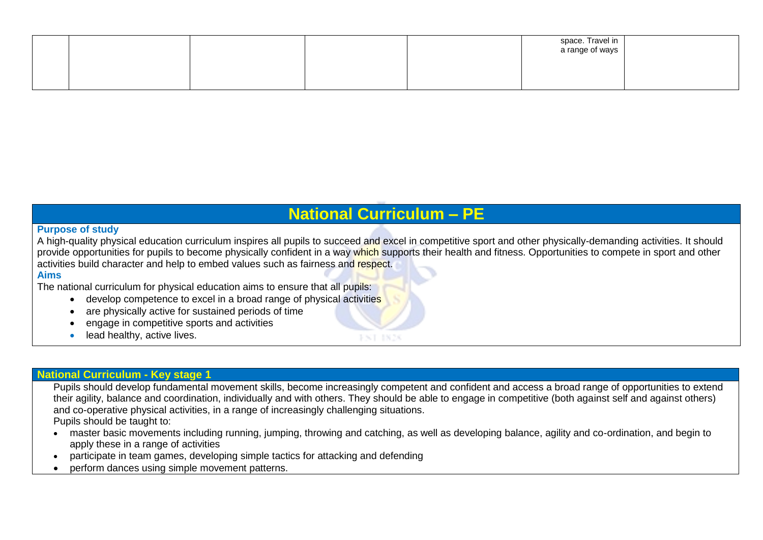|  |  | space. Travel in<br>a range of ways |  |
|--|--|-------------------------------------|--|
|  |  |                                     |  |

# **National Curriculum – PE**

#### **Purpose of study**

A high-quality physical education curriculum inspires all pupils to succeed and excel in competitive sport and other physically-demanding activities. It should provide opportunities for pupils to become physically confident in a way which supports their health and fitness. Opportunities to compete in sport and other activities build character and help to embed values such as fairness and respect.

**JACK 1826** 

#### **Aims**

The national curriculum for physical education aims to ensure that all pupils:

- develop competence to excel in a broad range of physical activities
- are physically active for sustained periods of time
- engage in competitive sports and activities
- lead healthy, active lives.

#### **National Curriculum - Key stage 1**

Pupils should develop fundamental movement skills, become increasingly competent and confident and access a broad range of opportunities to extend their agility, balance and coordination, individually and with others. They should be able to engage in competitive (both against self and against others) and co-operative physical activities, in a range of increasingly challenging situations.

Pupils should be taught to:

- master basic movements including running, jumping, throwing and catching, as well as developing balance, agility and co-ordination, and begin to apply these in a range of activities
- participate in team games, developing simple tactics for attacking and defending
- perform dances using simple movement patterns.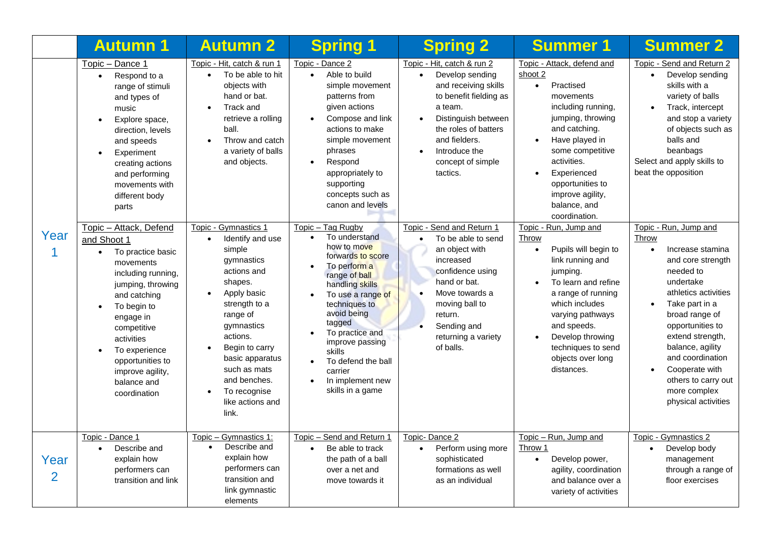|                        | <b>Autumn 1</b>                                                                                                                                                                                                                                                                                                            | <b>Autumn 2</b>                                                                                                                                                                                                                                                                                                           | <b>Spring 1</b>                                                                                                                                                                                                                                                                                                                        | <b>Spring 2</b>                                                                                                                                                                                                                                        | <b>Summer 1</b>                                                                                                                                                                                                                                                                       | <b>Summer 2</b>                                                                                                                                                                                                                                                                                                                                         |
|------------------------|----------------------------------------------------------------------------------------------------------------------------------------------------------------------------------------------------------------------------------------------------------------------------------------------------------------------------|---------------------------------------------------------------------------------------------------------------------------------------------------------------------------------------------------------------------------------------------------------------------------------------------------------------------------|----------------------------------------------------------------------------------------------------------------------------------------------------------------------------------------------------------------------------------------------------------------------------------------------------------------------------------------|--------------------------------------------------------------------------------------------------------------------------------------------------------------------------------------------------------------------------------------------------------|---------------------------------------------------------------------------------------------------------------------------------------------------------------------------------------------------------------------------------------------------------------------------------------|---------------------------------------------------------------------------------------------------------------------------------------------------------------------------------------------------------------------------------------------------------------------------------------------------------------------------------------------------------|
|                        | Topic - Dance 1<br>Respond to a<br>$\bullet$<br>range of stimuli<br>and types of<br>music<br>Explore space,<br>$\bullet$<br>direction, levels<br>and speeds<br>Experiment<br>$\bullet$<br>creating actions<br>and performing<br>movements with<br>different body<br>parts                                                  | Topic - Hit, catch & run 1<br>To be able to hit<br>$\bullet$<br>objects with<br>hand or bat.<br>Track and<br>$\bullet$<br>retrieve a rolling<br>ball.<br>Throw and catch<br>$\bullet$<br>a variety of balls<br>and objects.                                                                                               | Topic - Dance 2<br>Able to build<br>$\bullet$<br>simple movement<br>patterns from<br>given actions<br>Compose and link<br>actions to make<br>simple movement<br>phrases<br>Respond<br>$\bullet$<br>appropriately to<br>supporting<br>concepts such as<br>canon and levels                                                              | Topic - Hit, catch & run 2<br>Develop sending<br>$\bullet$<br>and receiving skills<br>to benefit fielding as<br>a team.<br>Distinguish between<br>$\bullet$<br>the roles of batters<br>and fielders.<br>Introduce the<br>concept of simple<br>tactics. | Topic - Attack, defend and<br>shoot 2<br>Practised<br>$\bullet$<br>movements<br>including running,<br>jumping, throwing<br>and catching.<br>Have played in<br>some competitive<br>activities.<br>Experienced<br>opportunities to<br>improve agility,<br>balance, and<br>coordination. | Topic - Send and Return 2<br>Develop sending<br>$\bullet$<br>skills with a<br>variety of balls<br>Track, intercept<br>and stop a variety<br>of objects such as<br>balls and<br>beanbags<br>Select and apply skills to<br>beat the opposition                                                                                                            |
| Year                   | Topic - Attack, Defend<br>and Shoot 1<br>To practice basic<br>$\bullet$<br>movements<br>including running,<br>jumping, throwing<br>and catching<br>To begin to<br>$\bullet$<br>engage in<br>competitive<br>activities<br>To experience<br>$\bullet$<br>opportunities to<br>improve agility,<br>balance and<br>coordination | Topic - Gymnastics 1<br>Identify and use<br>$\bullet$<br>simple<br>gymnastics<br>actions and<br>shapes.<br>Apply basic<br>$\bullet$<br>strength to a<br>range of<br>gymnastics<br>actions.<br>Begin to carry<br>basic apparatus<br>such as mats<br>and benches.<br>To recognise<br>$\bullet$<br>like actions and<br>link. | Topic - Tag Rugby<br>To understand<br>$\bullet$<br>how to move<br>forwards to score<br>To perform a<br>range of ball<br>handling skills<br>To use a range of<br>techniques to<br>avoid being<br>tagged<br>To practice and<br>improve passing<br><b>skills</b><br>To defend the ball<br>carrier<br>In implement new<br>skills in a game | Topic - Send and Return 1<br>To be able to send<br>$\bullet$<br>an object with<br>increased<br>confidence using<br>hand or bat.<br>Move towards a<br>moving ball to<br>return.<br>Sending and<br>returning a variety<br>of balls.                      | Topic - Run, Jump and<br>Throw<br>Pupils will begin to<br>$\bullet$<br>link running and<br>jumping.<br>To learn and refine<br>a range of running<br>which includes<br>varying pathways<br>and speeds.<br>Develop throwing<br>techniques to send<br>objects over long<br>distances.    | Topic - Run, Jump and<br>Throw<br>Increase stamina<br>$\bullet$<br>and core strength<br>needed to<br>undertake<br>athletics activities<br>Take part in a<br>$\bullet$<br>broad range of<br>opportunities to<br>extend strength,<br>balance, agility<br>and coordination<br>Cooperate with<br>others to carry out<br>more complex<br>physical activities |
| Year<br>$\overline{2}$ | Topic - Dance 1<br>Describe and<br>$\bullet$<br>explain how<br>performers can<br>transition and link                                                                                                                                                                                                                       | Topic - Gymnastics 1:<br>Describe and<br>$\bullet$<br>explain how<br>performers can<br>transition and<br>link gymnastic<br>elements                                                                                                                                                                                       | Topic - Send and Return 1<br>Be able to track<br>$\bullet$<br>the path of a ball<br>over a net and<br>move towards it                                                                                                                                                                                                                  | Topic-Dance 2<br>Perform using more<br>$\bullet$<br>sophisticated<br>formations as well<br>as an individual                                                                                                                                            | Topic - Run, Jump and<br>Throw 1<br>Develop power,<br>$\bullet$<br>agility, coordination<br>and balance over a<br>variety of activities                                                                                                                                               | Topic - Gymnastics 2<br>Develop body<br>$\bullet$<br>management<br>through a range of<br>floor exercises                                                                                                                                                                                                                                                |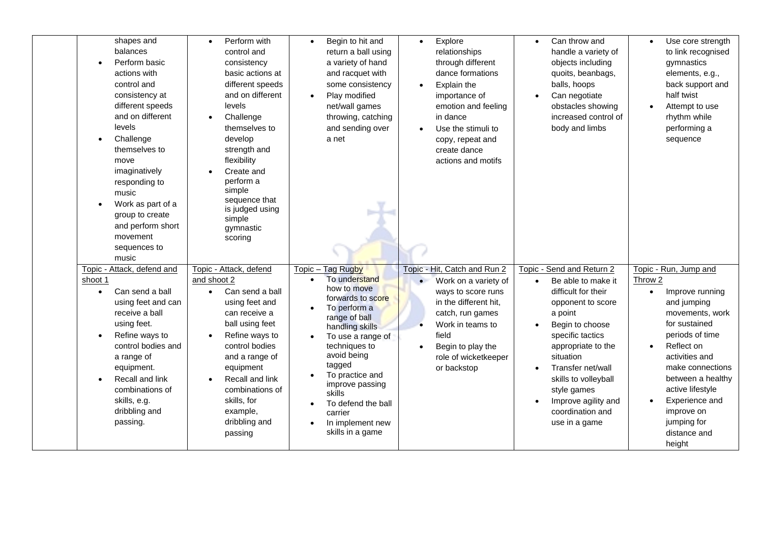| shapes and<br>balances<br>Perform basic<br>actions with<br>control and<br>consistency at<br>different speeds<br>and on different<br>levels<br>Challenge<br>$\bullet$<br>themselves to<br>move<br>imaginatively<br>responding to<br>music<br>Work as part of a<br>group to create<br>and perform short<br>movement<br>sequences to<br>music | Perform with<br>$\bullet$<br>control and<br>consistency<br>basic actions at<br>different speeds<br>and on different<br>levels<br>Challenge<br>$\bullet$<br>themselves to<br>develop<br>strength and<br>flexibility<br>Create and<br>perform a<br>simple<br>sequence that<br>is judged using<br>simple<br>gymnastic<br>scoring | Begin to hit and<br>$\bullet$<br>return a ball using<br>a variety of hand<br>and racquet with<br>some consistency<br>Play modified<br>net/wall games<br>throwing, catching<br>and sending over<br>a net                                                                                                                                      | Explore<br>$\bullet$<br>relationships<br>through different<br>dance formations<br>Explain the<br>$\bullet$<br>importance of<br>emotion and feeling<br>in dance<br>Use the stimuli to<br>$\bullet$<br>copy, repeat and<br>create dance<br>actions and motifs | Can throw and<br>$\bullet$<br>handle a variety of<br>objects including<br>quoits, beanbags,<br>balls, hoops<br>Can negotiate<br>obstacles showing<br>increased control of<br>body and limbs                                                                                                                           | Use core strength<br>$\bullet$<br>to link recognised<br>gymnastics<br>elements, e.g.,<br>back support and<br>half twist<br>Attempt to use<br>rhythm while<br>performing a<br>sequence                                                                                                                        |
|--------------------------------------------------------------------------------------------------------------------------------------------------------------------------------------------------------------------------------------------------------------------------------------------------------------------------------------------|-------------------------------------------------------------------------------------------------------------------------------------------------------------------------------------------------------------------------------------------------------------------------------------------------------------------------------|----------------------------------------------------------------------------------------------------------------------------------------------------------------------------------------------------------------------------------------------------------------------------------------------------------------------------------------------|-------------------------------------------------------------------------------------------------------------------------------------------------------------------------------------------------------------------------------------------------------------|-----------------------------------------------------------------------------------------------------------------------------------------------------------------------------------------------------------------------------------------------------------------------------------------------------------------------|--------------------------------------------------------------------------------------------------------------------------------------------------------------------------------------------------------------------------------------------------------------------------------------------------------------|
| Topic - Attack, defend and<br>shoot 1<br>Can send a ball<br>using feet and can<br>receive a ball<br>using feet.<br>Refine ways to<br>control bodies and<br>a range of<br>equipment.<br>Recall and link<br>combinations of<br>skills, e.g.<br>dribbling and<br>passing.                                                                     | Topic - Attack, defend<br>and shoot 2<br>Can send a ball<br>using feet and<br>can receive a<br>ball using feet<br>Refine ways to<br>control bodies<br>and a range of<br>equipment<br>Recall and link<br>combinations of<br>skills, for<br>example,<br>dribbling and<br>passing                                                | Topic - Tag Rugby<br>To understand<br>how to move<br>forwards to score<br>To perform a<br>range of ball<br>handling skills<br>To use a range of<br>$\bullet$<br>techniques to<br>avoid being<br>tagged<br>To practice and<br>improve passing<br>skills<br>To defend the ball<br>$\bullet$<br>carrier<br>In implement new<br>skills in a game | Topic - Hit, Catch and Run 2<br>Work on a variety of<br>ways to score runs<br>in the different hit,<br>catch, run games<br>Work in teams to<br>field<br>Begin to play the<br>role of wicketkeeper<br>or backstop                                            | Topic - Send and Return 2<br>Be able to make it<br>$\bullet$<br>difficult for their<br>opponent to score<br>a point<br>Begin to choose<br>specific tactics<br>appropriate to the<br>situation<br>Transfer net/wall<br>skills to volleyball<br>style games<br>Improve agility and<br>coordination and<br>use in a game | Topic - Run, Jump and<br>Throw 2<br>Improve running<br>$\bullet$<br>and jumping<br>movements, work<br>for sustained<br>periods of time<br>Reflect on<br>activities and<br>make connections<br>between a healthy<br>active lifestyle<br>Experience and<br>improve on<br>jumping for<br>distance and<br>height |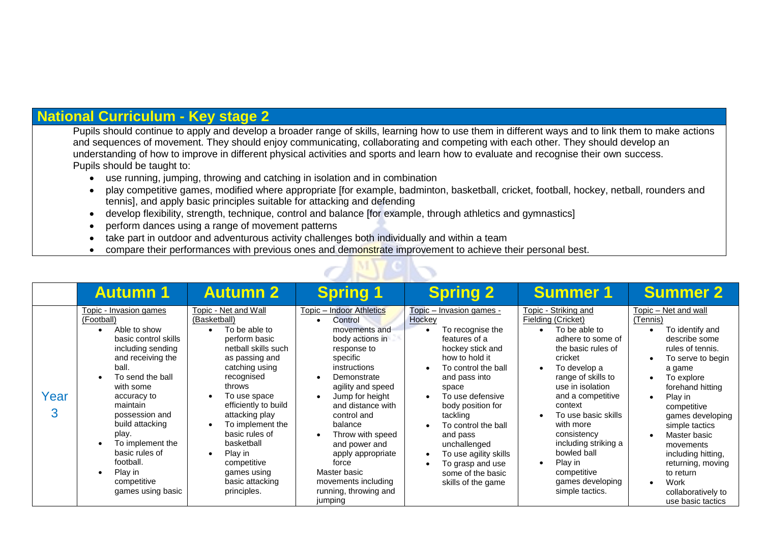## **National Curriculum - Key stage 2**

Pupils should continue to apply and develop a broader range of skills, learning how to use them in different ways and to link them to make actions and sequences of movement. They should enjoy communicating, collaborating and competing with each other. They should develop an understanding of how to improve in different physical activities and sports and learn how to evaluate and recognise their own success. Pupils should be taught to:

- use running, jumping, throwing and catching in isolation and in combination
- play competitive games, modified where appropriate [for example, badminton, basketball, cricket, football, hockey, netball, rounders and tennis], and apply basic principles suitable for attacking and defending
- develop flexibility, strength, technique, control and balance [for example, through athletics and gymnastics]
- perform dances using a range of movement patterns
- take part in outdoor and adventurous activity challenges both individually and within a team
- compare their performances with previous ones and demonstrate improvement to achieve their personal best.

|           | <b>Autumn 1</b>                                                                                                                                                                                                                                                                                                                             | <b>Autumn 2</b>                                                                                                                                                                                                                                                                                                                                    | <b>Spring 1</b>                                                                                                                                                                                                                                                                                                                                                        | <b>Spring 2</b>                                                                                                                                                                                                                                                                                                                                                | <b>Summer 1</b>                                                                                                                                                                                                                                                                                                                                                               | <b>Summer 2</b>                                                                                                                                                                                                                                                                                                                                                   |
|-----------|---------------------------------------------------------------------------------------------------------------------------------------------------------------------------------------------------------------------------------------------------------------------------------------------------------------------------------------------|----------------------------------------------------------------------------------------------------------------------------------------------------------------------------------------------------------------------------------------------------------------------------------------------------------------------------------------------------|------------------------------------------------------------------------------------------------------------------------------------------------------------------------------------------------------------------------------------------------------------------------------------------------------------------------------------------------------------------------|----------------------------------------------------------------------------------------------------------------------------------------------------------------------------------------------------------------------------------------------------------------------------------------------------------------------------------------------------------------|-------------------------------------------------------------------------------------------------------------------------------------------------------------------------------------------------------------------------------------------------------------------------------------------------------------------------------------------------------------------------------|-------------------------------------------------------------------------------------------------------------------------------------------------------------------------------------------------------------------------------------------------------------------------------------------------------------------------------------------------------------------|
| Year<br>3 | Topic - Invasion games<br>(Football)<br>Able to show<br>basic control skills<br>including sending<br>and receiving the<br>ball.<br>To send the ball<br>with some<br>accuracy to<br>maintain<br>possession and<br>build attacking<br>play.<br>To implement the<br>basic rules of<br>football.<br>Play in<br>competitive<br>games using basic | Topic - Net and Wall<br>(Basketball)<br>To be able to<br>perform basic<br>netball skills such<br>as passing and<br>catching using<br>recognised<br>throws<br>To use space<br>efficiently to build<br>attacking play<br>To implement the<br>basic rules of<br>basketball<br>Play in<br>competitive<br>games using<br>basic attacking<br>principles. | Topic - Indoor Athletics<br>Control<br>movements and<br>body actions in<br>response to<br>specific<br>instructions<br>Demonstrate<br>agility and speed<br>Jump for height<br>and distance with<br>control and<br>balance<br>Throw with speed<br>and power and<br>apply appropriate<br>force<br>Master basic<br>movements including<br>running, throwing and<br>jumping | Topic - Invasion games -<br>Hockey<br>To recognise the<br>features of a<br>hockey stick and<br>how to hold it<br>To control the ball<br>and pass into<br>space<br>To use defensive<br>body position for<br>tackling<br>To control the ball<br>and pass<br>unchallenged<br>To use agility skills<br>To grasp and use<br>some of the basic<br>skills of the game | Topic - Striking and<br><b>Fielding (Cricket)</b><br>To be able to<br>adhere to some of<br>the basic rules of<br>cricket<br>To develop a<br>range of skills to<br>use in isolation<br>and a competitive<br>context<br>To use basic skills<br>with more<br>consistency<br>including striking a<br>bowled ball<br>Play in<br>competitive<br>games developing<br>simple tactics. | Topic - Net and wall<br>(Tennis)<br>To identify and<br>describe some<br>rules of tennis.<br>To serve to begin<br>a game<br>To explore<br>forehand hitting<br>Play in<br>competitive<br>games developing<br>simple tactics<br>Master basic<br>movements<br>including hitting,<br>returning, moving<br>to return<br>Work<br>collaboratively to<br>use basic tactics |

**AND ASK**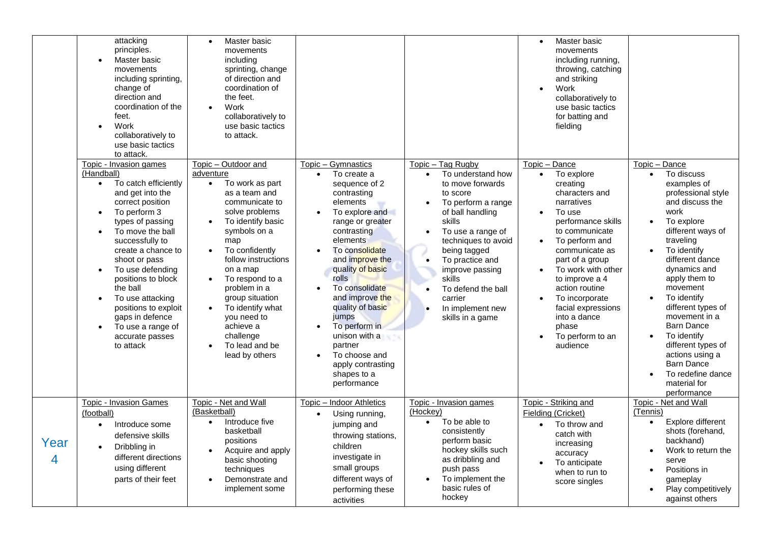|           | attacking<br>principles.<br>Master basic<br>movements<br>including sprinting,<br>change of<br>direction and<br>coordination of the<br>feet.<br>Work<br>$\bullet$<br>collaboratively to<br>use basic tactics<br>to attack.                                                                                                                                                                                                                                                      | Master basic<br>$\bullet$<br>movements<br>including<br>sprinting, change<br>of direction and<br>coordination of<br>the feet.<br>Work<br>$\bullet$<br>collaboratively to<br>use basic tactics<br>to attack.                                                                                                                                                                                                                                     |                                                                                                                                                                                                                                                                                                                                                                                                                                                                                          |                                                                                                                                                                                                                                                                                                                                                                                  | Master basic<br>$\bullet$<br>movements<br>including running,<br>throwing, catching<br>and striking<br>Work<br>$\bullet$<br>collaboratively to<br>use basic tactics<br>for batting and<br>fielding                                                                                                                                                                                                            |                                                                                                                                                                                                                                                                                                                                                                                                                                                                        |
|-----------|--------------------------------------------------------------------------------------------------------------------------------------------------------------------------------------------------------------------------------------------------------------------------------------------------------------------------------------------------------------------------------------------------------------------------------------------------------------------------------|------------------------------------------------------------------------------------------------------------------------------------------------------------------------------------------------------------------------------------------------------------------------------------------------------------------------------------------------------------------------------------------------------------------------------------------------|------------------------------------------------------------------------------------------------------------------------------------------------------------------------------------------------------------------------------------------------------------------------------------------------------------------------------------------------------------------------------------------------------------------------------------------------------------------------------------------|----------------------------------------------------------------------------------------------------------------------------------------------------------------------------------------------------------------------------------------------------------------------------------------------------------------------------------------------------------------------------------|--------------------------------------------------------------------------------------------------------------------------------------------------------------------------------------------------------------------------------------------------------------------------------------------------------------------------------------------------------------------------------------------------------------|------------------------------------------------------------------------------------------------------------------------------------------------------------------------------------------------------------------------------------------------------------------------------------------------------------------------------------------------------------------------------------------------------------------------------------------------------------------------|
|           | Topic - Invasion games<br>(Handball)<br>To catch efficiently<br>$\bullet$<br>and get into the<br>correct position<br>To perform 3<br>$\bullet$<br>types of passing<br>To move the ball<br>$\bullet$<br>successfully to<br>create a chance to<br>shoot or pass<br>To use defending<br>$\bullet$<br>positions to block<br>the ball<br>To use attacking<br>$\bullet$<br>positions to exploit<br>gaps in defence<br>To use a range of<br>$\bullet$<br>accurate passes<br>to attack | Topic - Outdoor and<br>adventure<br>To work as part<br>$\bullet$<br>as a team and<br>communicate to<br>solve problems<br>To identify basic<br>$\bullet$<br>symbols on a<br>map<br>To confidently<br>$\bullet$<br>follow instructions<br>on a map<br>To respond to a<br>$\bullet$<br>problem in a<br>group situation<br>To identify what<br>$\bullet$<br>you need to<br>achieve a<br>challenge<br>To lead and be<br>$\bullet$<br>lead by others | Topic - Gymnastics<br>To create a<br>$\bullet$<br>sequence of 2<br>contrasting<br>elements<br>To explore and<br>$\bullet$<br>range or greater<br>contrasting<br>elements<br>To consolidate<br>$\bullet$<br>and improve the<br>quality of basic<br><b>rolls</b><br>To consolidate<br>$\bullet$<br>and improve the<br>quality of basic<br>jumps<br>To perform in<br>$\bullet$<br>unison with a<br>partner<br>To choose and<br>$\bullet$<br>apply contrasting<br>shapes to a<br>performance | Topic - Tag Rugby<br>To understand how<br>$\bullet$<br>to move forwards<br>to score<br>To perform a range<br>$\bullet$<br>of ball handling<br>skills<br>To use a range of<br>$\bullet$<br>techniques to avoid<br>being tagged<br>To practice and<br>$\bullet$<br>improve passing<br>skills<br>To defend the ball<br>$\bullet$<br>carrier<br>In implement new<br>skills in a game | Topic - Dance<br>To explore<br>$\bullet$<br>creating<br>characters and<br>narratives<br>To use<br>$\bullet$<br>performance skills<br>to communicate<br>To perform and<br>$\bullet$<br>communicate as<br>part of a group<br>To work with other<br>$\bullet$<br>to improve a 4<br>action routine<br>To incorporate<br>$\bullet$<br>facial expressions<br>into a dance<br>phase<br>To perform to an<br>audience | Topic - Dance<br>To discuss<br>$\bullet$<br>examples of<br>professional style<br>and discuss the<br>work<br>To explore<br>$\bullet$<br>different ways of<br>traveling<br>To identify<br>$\bullet$<br>different dance<br>dynamics and<br>apply them to<br>movement<br>To identify<br>different types of<br>movement in a<br>Barn Dance<br>To identify<br>different types of<br>actions using a<br><b>Barn Dance</b><br>To redefine dance<br>material for<br>performance |
| Year<br>4 | <b>Topic - Invasion Games</b><br>(football)<br>Introduce some<br>$\bullet$<br>defensive skills<br>Dribbling in<br>$\bullet$<br>different directions<br>using different<br>parts of their feet                                                                                                                                                                                                                                                                                  | Topic - Net and Wall<br>(Basketball)<br>Introduce five<br>$\bullet$<br>basketball<br>positions<br>Acquire and apply<br>$\bullet$<br>basic shooting<br>techniques<br>Demonstrate and<br>$\bullet$<br>implement some                                                                                                                                                                                                                             | Topic - Indoor Athletics<br>Using running,<br>$\bullet$<br>jumping and<br>throwing stations,<br>children<br>investigate in<br>small groups<br>different ways of<br>performing these<br>activities                                                                                                                                                                                                                                                                                        | Topic - Invasion games<br>(Hockey)<br>To be able to<br>$\bullet$<br>consistently<br>perform basic<br>hockey skills such<br>as dribbling and<br>push pass<br>To implement the<br>basic rules of<br>hockey                                                                                                                                                                         | Topic - Striking and<br>Fielding (Cricket)<br>To throw and<br>catch with<br>increasing<br>accuracy<br>To anticipate<br>when to run to<br>score singles                                                                                                                                                                                                                                                       | Topic - Net and Wall<br>(Tennis)<br>Explore different<br>$\bullet$<br>shots (forehand,<br>backhand)<br>Work to return the<br>serve<br>Positions in<br>gameplay<br>Play competitively<br>against others                                                                                                                                                                                                                                                                 |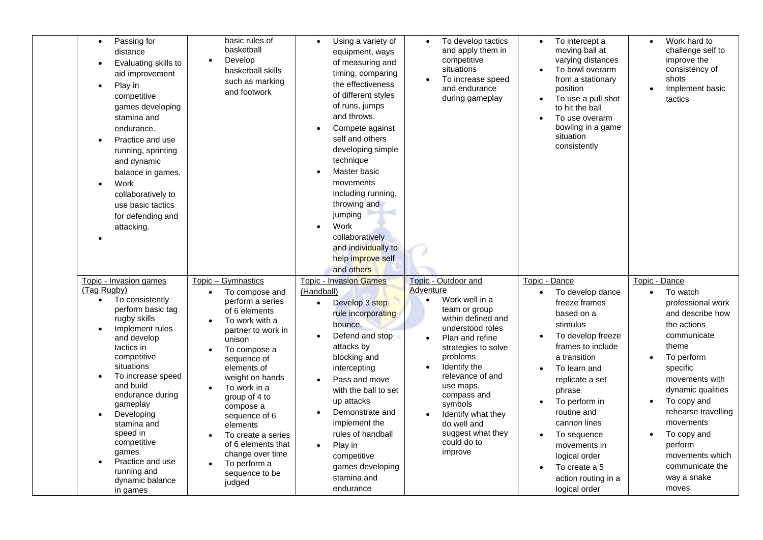| Passing for<br>$\bullet$<br>distance<br>Evaluating skills to<br>aid improvement<br>Play in<br>$\bullet$<br>competitive<br>games developing<br>stamina and<br>endurance.<br>Practice and use<br>running, sprinting<br>and dynamic<br>balance in games.<br>Work<br>$\bullet$<br>collaboratively to<br>use basic tactics<br>for defending and<br>attacking.                                                  | basic rules of<br>basketball<br>Develop<br>basketball skills<br>such as marking<br>and footwork                                                                                                                                                                                                                                                                                                  | Using a variety of<br>equipment, ways<br>of measuring and<br>timing, comparing<br>the effectiveness<br>of different styles<br>of runs, jumps<br>and throws.<br>Compete against<br>self and others<br>developing simple<br>technique<br>Master basic<br>movements<br>including running,<br>throwing and<br>jumping<br>Work<br>collaboratively<br>and individually to<br>help improve self<br>and others | To develop tactics<br>and apply them in<br>competitive<br>situations<br>To increase speed<br>$\bullet$<br>and endurance<br>during gameplay                                                                                                                                                                                                      | To intercept a<br>moving ball at<br>varying distances<br>To bowl overarm<br>from a stationary<br>position<br>To use a pull shot<br>to hit the ball<br>To use overarm<br>bowling in a game<br>situation<br>consistently                                                                                                                       | Work hard to<br>challenge self to<br>improve the<br>consistency of<br>shots<br>Implement basic<br>tactics                                                                                                                                                                                                                          |
|-----------------------------------------------------------------------------------------------------------------------------------------------------------------------------------------------------------------------------------------------------------------------------------------------------------------------------------------------------------------------------------------------------------|--------------------------------------------------------------------------------------------------------------------------------------------------------------------------------------------------------------------------------------------------------------------------------------------------------------------------------------------------------------------------------------------------|--------------------------------------------------------------------------------------------------------------------------------------------------------------------------------------------------------------------------------------------------------------------------------------------------------------------------------------------------------------------------------------------------------|-------------------------------------------------------------------------------------------------------------------------------------------------------------------------------------------------------------------------------------------------------------------------------------------------------------------------------------------------|----------------------------------------------------------------------------------------------------------------------------------------------------------------------------------------------------------------------------------------------------------------------------------------------------------------------------------------------|------------------------------------------------------------------------------------------------------------------------------------------------------------------------------------------------------------------------------------------------------------------------------------------------------------------------------------|
| Topic - Invasion games<br>(Tag Rugby)<br>To consistently<br>$\bullet$<br>perform basic tag<br>rugby skills<br>Implement rules<br>and develop<br>tactics in<br>competitive<br>situations<br>To increase speed<br>$\bullet$<br>and build<br>endurance during<br>gameplay<br>Developing<br>stamina and<br>speed in<br>competitive<br>games<br>Practice and use<br>running and<br>dynamic balance<br>in games | Topic - Gymnastics<br>To compose and<br>$\bullet$<br>perform a series<br>of 6 elements<br>To work with a<br>partner to work in<br>unison<br>To compose a<br>sequence of<br>elements of<br>weight on hands<br>To work in a<br>group of 4 to<br>compose a<br>sequence of 6<br>elements<br>To create a series<br>of 6 elements that<br>change over time<br>To perform a<br>sequence to be<br>judged | <b>Topic - Invasion Games</b><br>(Handball)<br>Develop 3 step<br>$\bullet$<br>rule incorporating<br>bounce.<br>Defend and stop<br>attacks by<br>blocking and<br>intercepting<br>Pass and move<br>with the ball to set<br>up attacks<br>Demonstrate and<br>implement the<br>rules of handball<br>Play in<br>competitive<br>games developing<br>stamina and<br>endurance                                 | Topic - Outdoor and<br>Adventure<br>Work well in a<br>$\bullet$<br>team or group<br>within defined and<br>understood roles<br>Plan and refine<br>strategies to solve<br>problems<br>Identify the<br>relevance of and<br>use maps,<br>compass and<br>symbols<br>Identify what they<br>do well and<br>suggest what they<br>could do to<br>improve | Topic - Dance<br>To develop dance<br>freeze frames<br>based on a<br>stimulus<br>To develop freeze<br>frames to include<br>a transition<br>To learn and<br>replicate a set<br>phrase<br>To perform in<br>routine and<br>cannon lines<br>To sequence<br>movements in<br>logical order<br>To create a 5<br>action routing in a<br>logical order | Topic - Dance<br>To watch<br>$\bullet$<br>professional work<br>and describe how<br>the actions<br>communicate<br>theme<br>To perform<br>specific<br>movements with<br>dynamic qualities<br>To copy and<br>rehearse travelling<br>movements<br>To copy and<br>perform<br>movements which<br>communicate the<br>way a snake<br>moves |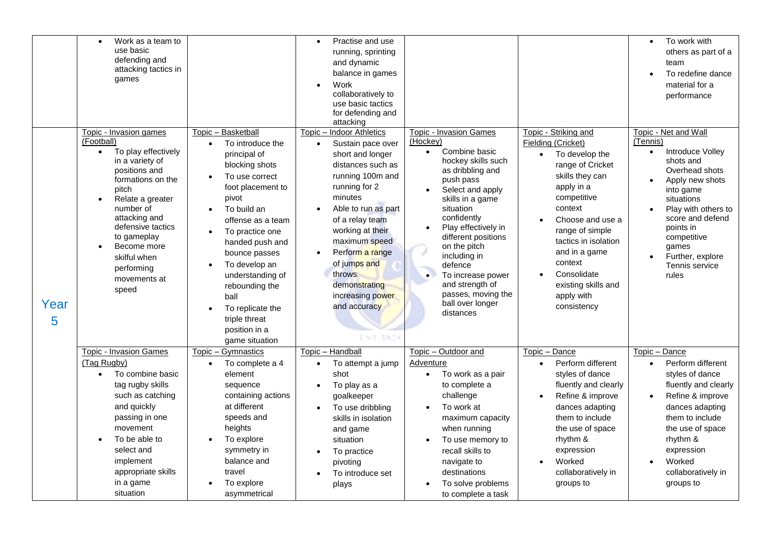|           | Work as a team to<br>$\bullet$<br>use basic<br>defending and<br>attacking tactics in                                                                                                                                                                                                                                |                                                                                                                                                                                                                                                                                                                                                                         | Practise and use<br>$\bullet$<br>running, sprinting<br>and dynamic<br>balance in games                                                                                                                                                                                                                                                           |                                                                                                                                                                                                                                                                                                                                                                                     |                                                                                                                                                                                                                                                                                                                  | To work with<br>$\bullet$<br>others as part of a<br>team<br>To redefine dance                                                                                                                                                                                                 |
|-----------|---------------------------------------------------------------------------------------------------------------------------------------------------------------------------------------------------------------------------------------------------------------------------------------------------------------------|-------------------------------------------------------------------------------------------------------------------------------------------------------------------------------------------------------------------------------------------------------------------------------------------------------------------------------------------------------------------------|--------------------------------------------------------------------------------------------------------------------------------------------------------------------------------------------------------------------------------------------------------------------------------------------------------------------------------------------------|-------------------------------------------------------------------------------------------------------------------------------------------------------------------------------------------------------------------------------------------------------------------------------------------------------------------------------------------------------------------------------------|------------------------------------------------------------------------------------------------------------------------------------------------------------------------------------------------------------------------------------------------------------------------------------------------------------------|-------------------------------------------------------------------------------------------------------------------------------------------------------------------------------------------------------------------------------------------------------------------------------|
|           | games                                                                                                                                                                                                                                                                                                               |                                                                                                                                                                                                                                                                                                                                                                         | Work<br>collaboratively to<br>use basic tactics<br>for defending and<br>attacking                                                                                                                                                                                                                                                                |                                                                                                                                                                                                                                                                                                                                                                                     |                                                                                                                                                                                                                                                                                                                  | material for a<br>performance                                                                                                                                                                                                                                                 |
| Year<br>5 | Topic - Invasion games<br>(Football)<br>To play effectively<br>$\bullet$<br>in a variety of<br>positions and<br>formations on the<br>pitch<br>Relate a greater<br>$\bullet$<br>number of<br>attacking and<br>defensive tactics<br>to gameplay<br>Become more<br>skilful when<br>performing<br>movements at<br>speed | Topic - Basketball<br>To introduce the<br>principal of<br>blocking shots<br>To use correct<br>$\bullet$<br>foot placement to<br>pivot<br>To build an<br>offense as a team<br>To practice one<br>handed push and<br>bounce passes<br>To develop an<br>understanding of<br>rebounding the<br>ball<br>To replicate the<br>triple threat<br>position in a<br>game situation | Topic - Indoor Athletics<br>Sustain pace over<br>$\bullet$<br>short and longer<br>distances such as<br>running 100m and<br>running for 2<br>minutes<br>Able to run as part<br>of a relay team<br>working at their<br>maximum speed<br>Perform a range<br>of jumps and<br>throws<br>demonstrating<br>increasing power<br>and accuracy<br>FST 1826 | Topic - Invasion Games<br>(Hockey)<br>Combine basic<br>$\bullet$<br>hockey skills such<br>as dribbling and<br>push pass<br>Select and apply<br>skills in a game<br>situation<br>confidently<br>Play effectively in<br>different positions<br>on the pitch<br>including in<br>defence<br>To increase power<br>and strength of<br>passes, moving the<br>ball over longer<br>distances | Topic - Striking and<br><b>Fielding (Cricket)</b><br>To develop the<br>range of Cricket<br>skills they can<br>apply in a<br>competitive<br>context<br>Choose and use a<br>range of simple<br>tactics in isolation<br>and in a game<br>context<br>Consolidate<br>existing skills and<br>apply with<br>consistency | Topic - Net and Wall<br>(Tennis)<br>Introduce Volley<br>$\bullet$<br>shots and<br>Overhead shots<br>Apply new shots<br>into game<br>situations<br>Play with others to<br>score and defend<br>points in<br>competitive<br>games<br>Further, explore<br>Tennis service<br>rules |
|           | <b>Topic - Invasion Games</b><br>(Tag Rugby)<br>To combine basic<br>$\bullet$<br>tag rugby skills<br>such as catching<br>and quickly<br>passing in one<br>movement<br>To be able to<br>select and<br>implement                                                                                                      | Topic - Gymnastics<br>To complete a 4<br>element<br>sequence<br>containing actions<br>at different<br>speeds and<br>heights<br>To explore<br>symmetry in<br>balance and                                                                                                                                                                                                 | Topic - Handball<br>To attempt a jump<br>$\bullet$<br>shot<br>To play as a<br>$\bullet$<br>goalkeeper<br>To use dribbling<br>skills in isolation<br>and game<br>situation<br>To practice<br>pivoting                                                                                                                                             | Topic - Outdoor and<br><b>Adventure</b><br>To work as a pair<br>to complete a<br>challenge<br>To work at<br>maximum capacity<br>when running<br>To use memory to<br>recall skills to<br>navigate to                                                                                                                                                                                 | Topic - Dance<br>Perform different<br>styles of dance<br>fluently and clearly<br>Refine & improve<br>dances adapting<br>them to include<br>the use of space<br>rhythm &<br>expression<br>Worked                                                                                                                  | Topic - Dance<br>Perform different<br>$\bullet$<br>styles of dance<br>fluently and clearly<br>Refine & improve<br>$\bullet$<br>dances adapting<br>them to include<br>the use of space<br>rhythm &<br>expression<br>Worked                                                     |
|           | appropriate skills<br>in a game<br>situation                                                                                                                                                                                                                                                                        | travel<br>To explore<br>asymmetrical                                                                                                                                                                                                                                                                                                                                    | To introduce set<br>plays                                                                                                                                                                                                                                                                                                                        | destinations<br>To solve problems<br>to complete a task                                                                                                                                                                                                                                                                                                                             | collaboratively in<br>groups to                                                                                                                                                                                                                                                                                  | collaboratively in<br>groups to                                                                                                                                                                                                                                               |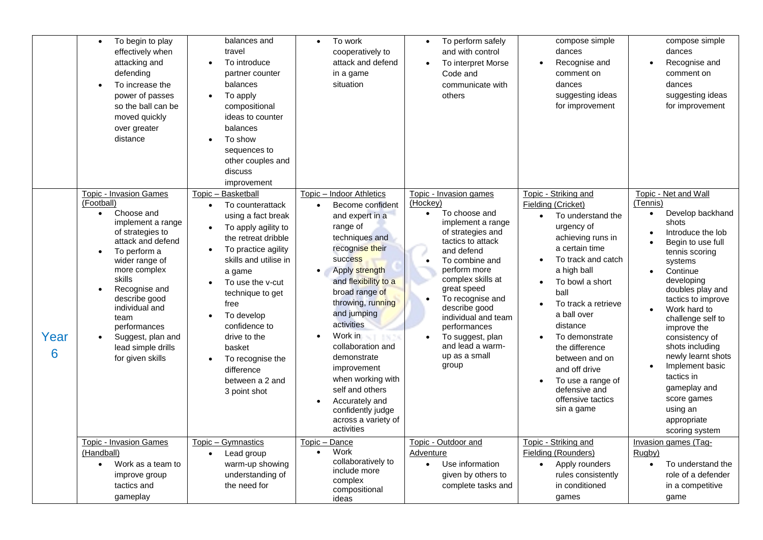|           | To begin to play<br>$\bullet$<br>effectively when<br>attacking and<br>defending<br>To increase the<br>$\bullet$<br>power of passes<br>so the ball can be<br>moved quickly<br>over greater<br>distance                                                                                                                                             | balances and<br>travel<br>To introduce<br>$\bullet$<br>partner counter<br>balances<br>To apply<br>compositional<br>ideas to counter<br>balances<br>To show<br>sequences to<br>other couples and<br>discuss<br>improvement                                                                                                                                                                              | To work<br>$\bullet$<br>cooperatively to<br>attack and defend<br>in a game<br>situation                                                                                                                                                                                                                                                                                                                                                                           | To perform safely<br>$\bullet$<br>and with control<br>To interpret Morse<br>Code and<br>communicate with<br>others                                                                                                                                                                                                                                                | compose simple<br>dances<br>Recognise and<br>comment on<br>dances<br>suggesting ideas<br>for improvement                                                                                                                                                                                                                                                                               | compose simple<br>dances<br>Recognise and<br>comment on<br>dances<br>suggesting ideas<br>for improvement                                                                                                                                                                                                                                                                                                                                          |
|-----------|---------------------------------------------------------------------------------------------------------------------------------------------------------------------------------------------------------------------------------------------------------------------------------------------------------------------------------------------------|--------------------------------------------------------------------------------------------------------------------------------------------------------------------------------------------------------------------------------------------------------------------------------------------------------------------------------------------------------------------------------------------------------|-------------------------------------------------------------------------------------------------------------------------------------------------------------------------------------------------------------------------------------------------------------------------------------------------------------------------------------------------------------------------------------------------------------------------------------------------------------------|-------------------------------------------------------------------------------------------------------------------------------------------------------------------------------------------------------------------------------------------------------------------------------------------------------------------------------------------------------------------|----------------------------------------------------------------------------------------------------------------------------------------------------------------------------------------------------------------------------------------------------------------------------------------------------------------------------------------------------------------------------------------|---------------------------------------------------------------------------------------------------------------------------------------------------------------------------------------------------------------------------------------------------------------------------------------------------------------------------------------------------------------------------------------------------------------------------------------------------|
| Year<br>6 | Topic - Invasion Games<br>(Football)<br>Choose and<br>$\bullet$<br>implement a range<br>of strategies to<br>attack and defend<br>To perform a<br>wider range of<br>more complex<br>skills<br>Recognise and<br>$\bullet$<br>describe good<br>individual and<br>team<br>performances<br>Suggest, plan and<br>lead simple drills<br>for given skills | Topic - Basketball<br>To counterattack<br>$\bullet$<br>using a fact break<br>To apply agility to<br>$\bullet$<br>the retreat dribble<br>To practice agility<br>$\bullet$<br>skills and utilise in<br>a game<br>To use the y-cut<br>technique to get<br>free<br>To develop<br>confidence to<br>drive to the<br>basket<br>To recognise the<br>$\bullet$<br>difference<br>between a 2 and<br>3 point shot | Indoor Athletics<br>$Topic -$<br>Become confident<br>$\bullet$<br>and expert in a<br>range of<br>techniques and<br>recognise their<br><b>success</b><br>Apply strength<br>and flexibility to a<br>broad range of<br>throwing, running<br>and jumping<br>activities<br>Work in<br>collaboration and<br>demonstrate<br>improvement<br>when working with<br>self and others<br>Accurately and<br>$\bullet$<br>confidently judge<br>across a variety of<br>activities | Topic - Invasion games<br>(Hockey)<br>To choose and<br>implement a range<br>of strategies and<br>tactics to attack<br>and defend<br>To combine and<br>$\bullet$<br>perform more<br>complex skills at<br>great speed<br>To recognise and<br>describe good<br>individual and team<br>performances<br>To suggest, plan<br>and lead a warm-<br>up as a small<br>group | Topic - Striking and<br>Fielding (Cricket)<br>To understand the<br>urgency of<br>achieving runs in<br>a certain time<br>To track and catch<br>a high ball<br>To bowl a short<br>ball<br>To track a retrieve<br>a ball over<br>distance<br>To demonstrate<br>the difference<br>between and on<br>and off drive<br>To use a range of<br>defensive and<br>offensive tactics<br>sin a game | Topic - Net and Wall<br>(Tennis)<br>Develop backhand<br>$\bullet$<br>shots<br>Introduce the lob<br>Begin to use full<br>tennis scoring<br>systems<br>Continue<br>developing<br>doubles play and<br>tactics to improve<br>Work hard to<br>challenge self to<br>improve the<br>consistency of<br>shots including<br>newly learnt shots<br>Implement basic<br>tactics in<br>gameplay and<br>score games<br>using an<br>appropriate<br>scoring system |
|           | <b>Topic - Invasion Games</b><br>(Handball)<br>Work as a team to<br>$\bullet$<br>improve group<br>tactics and<br>gameplay                                                                                                                                                                                                                         | Topic - Gymnastics<br>Lead group<br>$\bullet$<br>warm-up showing<br>understanding of<br>the need for                                                                                                                                                                                                                                                                                                   | Topic - Dance<br>Work<br>$\bullet$<br>collaboratively to<br>include more<br>complex<br>compositional<br>ideas                                                                                                                                                                                                                                                                                                                                                     | Topic - Outdoor and<br>Adventure<br>Use information<br>given by others to<br>complete tasks and                                                                                                                                                                                                                                                                   | Topic - Striking and<br><b>Fielding (Rounders)</b><br>Apply rounders<br>rules consistently<br>in conditioned<br>games                                                                                                                                                                                                                                                                  | Invasion games (Tag-<br>Rugby)<br>To understand the<br>$\bullet$<br>role of a defender<br>in a competitive<br>game                                                                                                                                                                                                                                                                                                                                |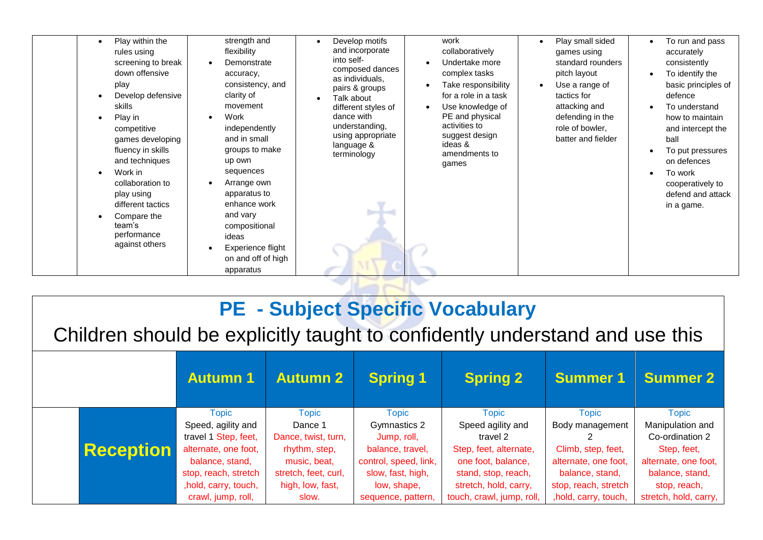| rules using<br>screening to break<br>down offensive<br>play<br>Develop defensive<br>skills<br>Play in<br>competitive<br>games developing<br>fluency in skills<br>and techniques<br>Work in<br>collaboration to<br>play using<br>different tactics<br>Compare the<br>team's<br>performance<br>against others | flexibility<br>Demonstrate<br>accuracy,<br>consistency, and<br>clarity of<br>movement<br>Work<br>independently<br>and in small<br>groups to make<br>up own<br>sequences<br>Arrange own<br>apparatus to<br>enhance work<br>and vary<br>compositional<br>ideas<br>Experience flight<br>on and off of high<br>apparatus | and incorporate<br>into self-<br>composed dances<br>as individuals,<br>pairs & groups<br>Talk about<br>different styles of<br>dance with<br>understanding,<br>using appropriate<br>language &<br>terminology | collaboratively<br>Undertake more<br>complex tasks<br>Take responsibility<br>for a role in a task<br>Use knowledge of<br>PE and physical<br>activities to<br>suggest design<br>ideas &<br>amendments to<br>games | games using<br>standard rounders<br>pitch layout<br>Use a range of<br>tactics for<br>attacking and<br>defending in the<br>role of bowler.<br>batter and fielder | accurately<br>consistently<br>To identify the<br>basic principles of<br>defence<br>To understand<br>how to maintain<br>and intercept the<br>ball<br>To put pressures<br>on defences<br>To work<br>cooperatively to<br>defend and attack<br>in a game. |
|-------------------------------------------------------------------------------------------------------------------------------------------------------------------------------------------------------------------------------------------------------------------------------------------------------------|----------------------------------------------------------------------------------------------------------------------------------------------------------------------------------------------------------------------------------------------------------------------------------------------------------------------|--------------------------------------------------------------------------------------------------------------------------------------------------------------------------------------------------------------|------------------------------------------------------------------------------------------------------------------------------------------------------------------------------------------------------------------|-----------------------------------------------------------------------------------------------------------------------------------------------------------------|-------------------------------------------------------------------------------------------------------------------------------------------------------------------------------------------------------------------------------------------------------|
| Play within the<br>$\bullet$                                                                                                                                                                                                                                                                                | strength and                                                                                                                                                                                                                                                                                                         | Develop motifs<br>$\bullet$                                                                                                                                                                                  | work                                                                                                                                                                                                             | Play small sided                                                                                                                                                | To run and pass                                                                                                                                                                                                                                       |
|                                                                                                                                                                                                                                                                                                             |                                                                                                                                                                                                                                                                                                                      |                                                                                                                                                                                                              |                                                                                                                                                                                                                  |                                                                                                                                                                 |                                                                                                                                                                                                                                                       |
|                                                                                                                                                                                                                                                                                                             |                                                                                                                                                                                                                                                                                                                      |                                                                                                                                                                                                              |                                                                                                                                                                                                                  |                                                                                                                                                                 |                                                                                                                                                                                                                                                       |
|                                                                                                                                                                                                                                                                                                             |                                                                                                                                                                                                                                                                                                                      |                                                                                                                                                                                                              |                                                                                                                                                                                                                  |                                                                                                                                                                 |                                                                                                                                                                                                                                                       |

# **PE - Subject Specific Vocabulary**

Children should be explicitly taught to confidently understand and use this

|                  | <b>Autumn1</b>                                                                                                                                                               | <b>Autumn 2</b>                                                                                                                      | <b>Spring 1</b>                                                                                                                                    | <b>Spring 2</b>                                                                                                                                                            | <b>Summer 1</b>                                                                                                                                   | <b>Summer 2</b>                                                                                                                                        |
|------------------|------------------------------------------------------------------------------------------------------------------------------------------------------------------------------|--------------------------------------------------------------------------------------------------------------------------------------|----------------------------------------------------------------------------------------------------------------------------------------------------|----------------------------------------------------------------------------------------------------------------------------------------------------------------------------|---------------------------------------------------------------------------------------------------------------------------------------------------|--------------------------------------------------------------------------------------------------------------------------------------------------------|
| <b>Reception</b> | <b>Topic</b><br>Speed, agility and<br>travel 1 Step, feet,<br>alternate, one foot,<br>balance, stand,<br>stop, reach, stretch<br>, hold, carry, touch,<br>crawl, jump, roll, | <b>Topic</b><br>Dance 1<br>Dance, twist, turn,<br>rhythm, step,<br>music, beat,<br>stretch, feet, curl,<br>high, low, fast,<br>slow. | <b>Topic</b><br>Gymnastics 2<br>Jump, roll,<br>balance, travel,<br>control, speed, link,<br>slow, fast, high,<br>low, shape,<br>sequence, pattern, | <b>Topic</b><br>Speed agility and<br>travel 2<br>Step, feet, alternate,<br>one foot, balance,<br>stand, stop, reach,<br>stretch, hold, carry,<br>touch, crawl, jump, roll, | <b>Topic</b><br>Body management<br>Climb, step, feet,<br>alternate, one foot,<br>balance, stand,<br>stop, reach, stretch<br>, hold, carry, touch, | <b>Topic</b><br>Manipulation and<br>Co-ordination 2<br>Step, feet,<br>alternate, one foot,<br>balance, stand,<br>stop, reach,<br>stretch, hold, carry, |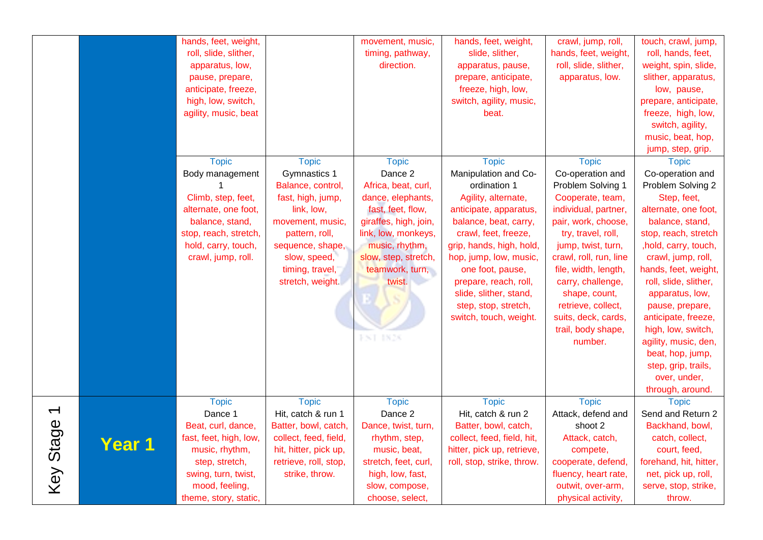|                                       |               | hands, feet, weight,<br>roll, slide, slither,<br>apparatus, low,<br>pause, prepare,<br>anticipate, freeze,<br>high, low, switch,<br>agility, music, beat                      |                                                                                                                                                                                                       | movement, music,<br>timing, pathway,<br>direction.                                                                                                                                                                          | hands, feet, weight,<br>slide, slither,<br>apparatus, pause,<br>prepare, anticipate,<br>freeze, high, low,<br>switch, agility, music,<br>beat.                                                                                                                                                                                        | crawl, jump, roll,<br>hands, feet, weight,<br>roll, slide, slither,<br>apparatus, low.                                                                                                                                                                                                                                                     | touch, crawl, jump,<br>roll, hands, feet,<br>weight, spin, slide,<br>slither, apparatus,<br>low, pause,<br>prepare, anticipate,<br>freeze, high, low,<br>switch, agility,<br>music, beat, hop,<br>jump, step, grip.                                                                                                                                                                                                               |
|---------------------------------------|---------------|-------------------------------------------------------------------------------------------------------------------------------------------------------------------------------|-------------------------------------------------------------------------------------------------------------------------------------------------------------------------------------------------------|-----------------------------------------------------------------------------------------------------------------------------------------------------------------------------------------------------------------------------|---------------------------------------------------------------------------------------------------------------------------------------------------------------------------------------------------------------------------------------------------------------------------------------------------------------------------------------|--------------------------------------------------------------------------------------------------------------------------------------------------------------------------------------------------------------------------------------------------------------------------------------------------------------------------------------------|-----------------------------------------------------------------------------------------------------------------------------------------------------------------------------------------------------------------------------------------------------------------------------------------------------------------------------------------------------------------------------------------------------------------------------------|
|                                       |               | <b>Topic</b><br>Body management<br>Climb, step, feet,<br>alternate, one foot,<br>balance, stand,<br>stop, reach, stretch,<br>hold, carry, touch,<br>crawl, jump, roll.        | <b>Topic</b><br>Gymnastics 1<br>Balance, control,<br>fast, high, jump,<br>link, low,<br>movement, music,<br>pattern, roll,<br>sequence, shape,<br>slow, speed,<br>timing, travel,<br>stretch, weight. | <b>Topic</b><br>Dance 2<br>Africa, beat, curl,<br>dance, elephants,<br>fast, feet, flow,<br>giraffes, high, join,<br>link, low, monkeys,<br>music, rhythm,<br>slow, step, stretch,<br>teamwork, turn,<br>twist.<br>FNT 1826 | <b>Topic</b><br>Manipulation and Co-<br>ordination 1<br>Agility, alternate,<br>anticipate, apparatus,<br>balance, beat, carry,<br>crawl, feet, freeze,<br>grip, hands, high, hold,<br>hop, jump, low, music,<br>one foot, pause,<br>prepare, reach, roll,<br>slide, slither, stand,<br>step, stop, stretch,<br>switch, touch, weight. | <b>Topic</b><br>Co-operation and<br>Problem Solving 1<br>Cooperate, team,<br>individual, partner,<br>pair, work, choose,<br>try, travel, roll,<br>jump, twist, turn,<br>crawl, roll, run, line<br>file, width, length,<br>carry, challenge,<br>shape, count,<br>retrieve, collect,<br>suits, deck, cards,<br>trail, body shape,<br>number. | <b>Topic</b><br>Co-operation and<br>Problem Solving 2<br>Step, feet,<br>alternate, one foot,<br>balance, stand,<br>stop, reach, stretch<br>, hold, carry, touch,<br>crawl, jump, roll,<br>hands, feet, weight,<br>roll, slide, slither,<br>apparatus, low,<br>pause, prepare,<br>anticipate, freeze,<br>high, low, switch,<br>agility, music, den,<br>beat, hop, jump,<br>step, grip, trails,<br>over, under,<br>through, around. |
| $\overline{\phantom{0}}$<br>Key Stage | <b>Year 1</b> | <b>Topic</b><br>Dance 1<br>Beat, curl, dance,<br>fast, feet, high, low,<br>music, rhythm,<br>step, stretch,<br>swing, turn, twist,<br>mood, feeling,<br>theme, story, static, | <b>Topic</b><br>Hit, catch & run 1<br>Batter, bowl, catch,<br>collect, feed, field,<br>hit, hitter, pick up,<br>retrieve, roll, stop,<br>strike, throw.                                               | <b>Topic</b><br>Dance 2<br>Dance, twist, turn,<br>rhythm, step,<br>music, beat,<br>stretch, feet, curl,<br>high, low, fast,<br>slow, compose,<br>choose, select,                                                            | <b>Topic</b><br>Hit, catch & run 2<br>Batter, bowl, catch,<br>collect, feed, field, hit,<br>hitter, pick up, retrieve,<br>roll, stop, strike, throw.                                                                                                                                                                                  | <b>Topic</b><br>Attack, defend and<br>shoot 2<br>Attack, catch,<br>compete,<br>cooperate, defend,<br>fluency, heart rate,<br>outwit, over-arm,<br>physical activity,                                                                                                                                                                       | <b>Topic</b><br>Send and Return 2<br>Backhand, bowl,<br>catch, collect,<br>court, feed,<br>forehand, hit, hitter,<br>net, pick up, roll,<br>serve, stop, strike,<br>throw.                                                                                                                                                                                                                                                        |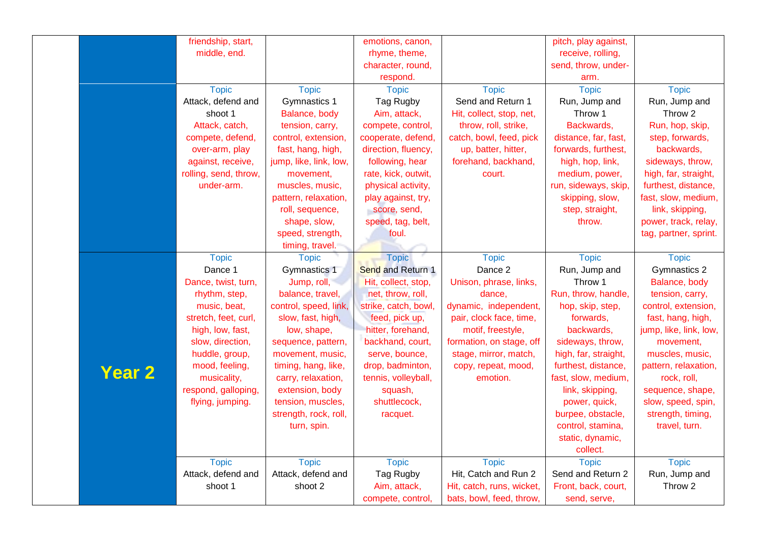|               | friendship, start,    |                        | emotions, canon,         |                           | pitch, play against, |                        |
|---------------|-----------------------|------------------------|--------------------------|---------------------------|----------------------|------------------------|
|               | middle, end.          |                        | rhyme, theme,            |                           | receive, rolling,    |                        |
|               |                       |                        | character, round,        |                           | send, throw, under-  |                        |
|               |                       |                        | respond.                 |                           | arm.                 |                        |
|               | <b>Topic</b>          | <b>Topic</b>           | <b>Topic</b>             | <b>Topic</b>              | <b>Topic</b>         | <b>Topic</b>           |
|               | Attack, defend and    | Gymnastics 1           | Tag Rugby                | Send and Return 1         | Run, Jump and        | Run, Jump and          |
|               | shoot 1               | Balance, body          | Aim, attack,             | Hit, collect, stop, net,  | Throw 1              | Throw 2                |
|               | Attack, catch,        | tension, carry,        | compete, control,        | throw, roll, strike,      | Backwards,           | Run, hop, skip,        |
|               | compete, defend,      | control, extension,    | cooperate, defend,       | catch, bowl, feed, pick   | distance, far, fast, | step, forwards,        |
|               | over-arm, play        | fast, hang, high,      | direction, fluency,      | up, batter, hitter,       | forwards, furthest,  | backwards,             |
|               | against, receive,     | jump, like, link, low, | following, hear          | forehand, backhand,       | high, hop, link,     | sideways, throw,       |
|               | rolling, send, throw, | movement,              | rate, kick, outwit,      | court.                    | medium, power,       | high, far, straight,   |
|               | under-arm.            | muscles, music,        | physical activity,       |                           | run, sideways, skip, | furthest, distance,    |
|               |                       | pattern, relaxation,   | play against, try,       |                           | skipping, slow,      | fast, slow, medium,    |
|               |                       | roll, sequence,        | score, send,             |                           | step, straight,      | link, skipping,        |
|               |                       | shape, slow,           | speed, tag, belt,        |                           | throw.               | power, track, relay,   |
|               |                       | speed, strength,       | foul.                    |                           |                      | tag, partner, sprint.  |
|               |                       | timing, travel.        |                          |                           |                      |                        |
|               | <b>Topic</b>          | <b>Topic</b>           | <b>Topic</b>             | <b>Topic</b>              | <b>Topic</b>         | <b>Topic</b>           |
|               | Dance 1               | Gymnastics 1           | <b>Send and Return 1</b> | Dance 2                   | Run, Jump and        | Gymnastics 2           |
|               | Dance, twist, turn,   | Jump, roll,            | Hit, collect, stop,      | Unison, phrase, links,    | Throw 1              | Balance, body          |
|               | rhythm, step,         | balance, travel,       | net, throw, roll,        | dance,                    | Run, throw, handle,  | tension, carry,        |
|               | music, beat,          | control, speed, link,  | strike, catch, bowl,     | dynamic, independent,     | hop, skip, step,     | control, extension,    |
|               | stretch, feet, curl,  | slow, fast, high,      | feed, pick up,           | pair, clock face, time,   | forwards,            | fast, hang, high,      |
|               | high, low, fast,      | low, shape,            | hitter, forehand,        | motif, freestyle,         | backwards,           | jump, like, link, low, |
|               | slow, direction,      | sequence, pattern,     | backhand, court,         | formation, on stage, off  | sideways, throw,     | movement,              |
|               | huddle, group,        | movement, music,       | serve, bounce,           | stage, mirror, match,     | high, far, straight, | muscles, music,        |
|               | mood, feeling,        | timing, hang, like,    | drop, badminton,         | copy, repeat, mood,       | furthest, distance,  | pattern, relaxation,   |
| <b>Year 2</b> | musicality,           | carry, relaxation,     | tennis, volleyball,      | emotion.                  | fast, slow, medium,  | rock, roll,            |
|               | respond, galloping,   | extension, body        | squash,                  |                           | link, skipping,      | sequence, shape,       |
|               | flying, jumping.      | tension, muscles,      | shuttlecock,             |                           | power, quick,        | slow, speed, spin,     |
|               |                       | strength, rock, roll,  | racquet.                 |                           | burpee, obstacle,    | strength, timing,      |
|               |                       | turn, spin.            |                          |                           | control, stamina,    | travel, turn.          |
|               |                       |                        |                          |                           | static, dynamic,     |                        |
|               |                       |                        |                          |                           | collect.             |                        |
|               | <b>Topic</b>          | <b>Topic</b>           | <b>Topic</b>             | <b>Topic</b>              | <b>Topic</b>         | <b>Topic</b>           |
|               | Attack, defend and    | Attack, defend and     | Tag Rugby                | Hit, Catch and Run 2      | Send and Return 2    | Run, Jump and          |
|               | shoot 1               | shoot 2                | Aim, attack,             | Hit, catch, runs, wicket, | Front, back, court,  | Throw 2                |
|               |                       |                        | compete, control,        | bats, bowl, feed, throw,  | send, serve,         |                        |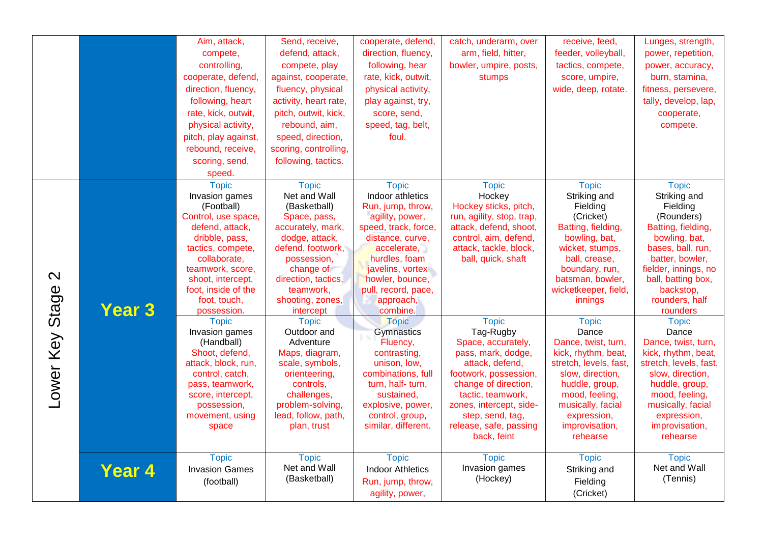|                            |               | Aim, attack,<br>compete,<br>controlling,<br>cooperate, defend,<br>direction, fluency,<br>following, heart<br>rate, kick, outwit,<br>physical activity,<br>pitch, play against,                                                                               | Send, receive,<br>defend, attack,<br>compete, play<br>against, cooperate,<br>fluency, physical<br>activity, heart rate,<br>pitch, outwit, kick,<br>rebound, aim,<br>speed, direction,                                                     | cooperate, defend,<br>direction, fluency,<br>following, hear<br>rate, kick, outwit,<br>physical activity,<br>play against, try,<br>score, send,<br>speed, tag, belt,<br>foul.                                                                               | catch, underarm, over<br>arm, field, hitter,<br>bowler, umpire, posts,<br>stumps                                                                                                                                                       | receive, feed,<br>feeder, volleyball,<br>tactics, compete,<br>score, umpire,<br>wide, deep, rotate.                                                                                                                       | Lunges, strength,<br>power, repetition,<br>power, accuracy,<br>burn, stamina,<br>fitness, persevere,<br>tally, develop, lap,<br>cooperate,<br>compete.                                                                                         |
|----------------------------|---------------|--------------------------------------------------------------------------------------------------------------------------------------------------------------------------------------------------------------------------------------------------------------|-------------------------------------------------------------------------------------------------------------------------------------------------------------------------------------------------------------------------------------------|-------------------------------------------------------------------------------------------------------------------------------------------------------------------------------------------------------------------------------------------------------------|----------------------------------------------------------------------------------------------------------------------------------------------------------------------------------------------------------------------------------------|---------------------------------------------------------------------------------------------------------------------------------------------------------------------------------------------------------------------------|------------------------------------------------------------------------------------------------------------------------------------------------------------------------------------------------------------------------------------------------|
|                            |               | rebound, receive,<br>scoring, send,<br>speed.                                                                                                                                                                                                                | scoring, controlling,<br>following, tactics.                                                                                                                                                                                              |                                                                                                                                                                                                                                                             |                                                                                                                                                                                                                                        |                                                                                                                                                                                                                           |                                                                                                                                                                                                                                                |
| $\mathbf{\Omega}$<br>Stage | <b>Year 3</b> | <b>Topic</b><br>Invasion games<br>(Football)<br>Control, use space,<br>defend, attack,<br>dribble, pass,<br>tactics, compete,<br>collaborate,<br>teamwork, score,<br>shoot, intercept,<br>foot, inside of the<br>foot, touch,<br>possession.<br><b>Topic</b> | <b>Topic</b><br>Net and Wall<br>(Basketball)<br>Space, pass,<br>accurately, mark,<br>dodge, attack,<br>defend, footwork,<br>possession,<br>change of<br>direction, tactics,<br>teamwork,<br>shooting, zones,<br>intercept<br><b>Topic</b> | <b>Topic</b><br>Indoor athletics<br>Run, jump, throw,<br>agility, power,<br>speed, track, force,<br>distance, curve,<br>accelerate,<br>hurdles, foam<br>javelins, vortex<br>howler, bounce,<br>pull, record, pace,<br>approach,<br>combine.<br><b>Topic</b> | <b>Topic</b><br>Hockey<br>Hockey sticks, pitch,<br>run, agility, stop, trap,<br>attack, defend, shoot,<br>control, aim, defend,<br>attack, tackle, block,<br>ball, quick, shaft<br><b>Topic</b>                                        | <b>Topic</b><br>Striking and<br>Fielding<br>(Cricket)<br>Batting, fielding,<br>bowling, bat,<br>wicket, stumps,<br>ball, crease,<br>boundary, run,<br>batsman, bowler,<br>wicketkeeper, field,<br>innings<br><b>Topic</b> | <b>Topic</b><br>Striking and<br>Fielding<br>(Rounders)<br>Batting, fielding,<br>bowling, bat,<br>bases, ball, run,<br>batter, bowler,<br>fielder, innings, no<br>ball, batting box,<br>backstop,<br>rounders, half<br>rounders<br><b>Topic</b> |
| Lower Key                  |               | Invasion games<br>(Handball)<br>Shoot, defend,<br>attack, block, run,<br>control, catch,<br>pass, teamwork,<br>score, intercept,<br>possession,<br>movement, using<br>space                                                                                  | Outdoor and<br>Adventure<br>Maps, diagram,<br>scale, symbols,<br>orienteering,<br>controls,<br>challenges,<br>problem-solving,<br>lead, follow, path,<br>plan, trust                                                                      | Gymnastics<br>Fluency,<br>contrasting,<br>unison. low.<br>combinations, full<br>turn, half- turn,<br>sustained,<br>explosive, power,<br>control, group,<br>similar, different.                                                                              | Tag-Rugby<br>Space, accurately,<br>pass, mark, dodge,<br>attack, defend,<br>footwork, possession,<br>change of direction,<br>tactic, teamwork,<br>zones, intercept, side-<br>step, send, tag,<br>release, safe, passing<br>back, feint | Dance<br>Dance, twist, turn,<br>kick, rhythm, beat,<br>stretch, levels, fast,<br>slow, direction,<br>huddle, group,<br>mood, feeling,<br>musically, facial<br>expression,<br>improvisation,<br>rehearse                   | Dance<br>Dance, twist, turn,<br>kick, rhythm, beat,<br>stretch, levels, fast,<br>slow, direction,<br>huddle, group,<br>mood, feeling,<br>musically, facial<br>expression,<br>improvisation,<br>rehearse                                        |
|                            | <b>Year 4</b> | <b>Topic</b><br><b>Invasion Games</b><br>(football)                                                                                                                                                                                                          | <b>Topic</b><br>Net and Wall<br>(Basketball)                                                                                                                                                                                              | <b>Topic</b><br><b>Indoor Athletics</b><br>Run, jump, throw,<br>agility, power,                                                                                                                                                                             | <b>Topic</b><br>Invasion games<br>(Hockey)                                                                                                                                                                                             | <b>Topic</b><br>Striking and<br>Fielding<br>(Cricket)                                                                                                                                                                     | <b>Topic</b><br>Net and Wall<br>(Tennis)                                                                                                                                                                                                       |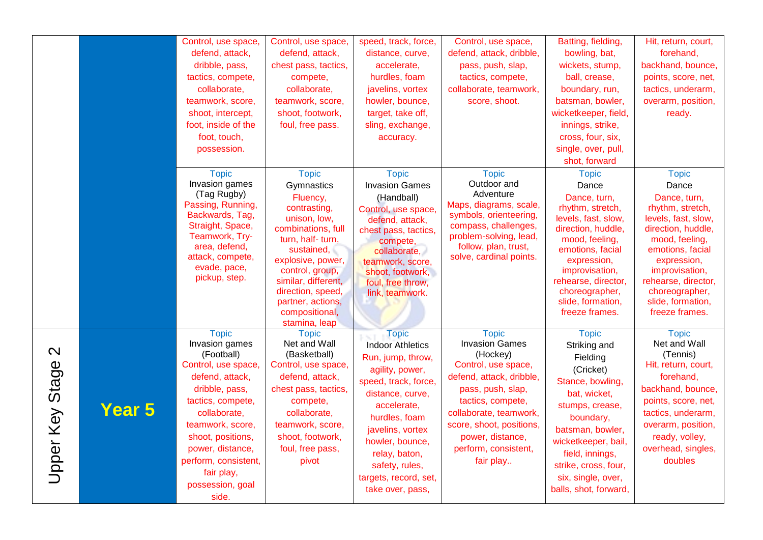|                                      |               | Control, use space,<br>defend, attack,<br>dribble, pass,<br>tactics, compete,<br>collaborate,<br>teamwork, score,<br>shoot, intercept,<br>foot, inside of the<br>foot, touch,<br>possession.                                                                                  | Control, use space,<br>defend, attack,<br>chest pass, tactics,<br>compete,<br>collaborate,<br>teamwork, score,<br>shoot, footwork,<br>foul, free pass.                                                                                                                      | speed, track, force,<br>distance, curve,<br>accelerate,<br>hurdles, foam<br>javelins, vortex<br>howler, bounce,<br>target, take off,<br>sling, exchange,<br>accuracy.                                                                                                              | Control, use space,<br>defend, attack, dribble,<br>pass, push, slap,<br>tactics, compete,<br>collaborate, teamwork,<br>score, shoot.                                                                                                                          | Batting, fielding,<br>bowling, bat,<br>wickets, stump,<br>ball, crease,<br>boundary, run,<br>batsman, bowler,<br>wicketkeeper, field,<br>innings, strike,<br>cross, four, six,<br>single, over, pull,<br>shot, forward                                         | Hit, return, court,<br>forehand,<br>backhand, bounce,<br>points, score, net,<br>tactics, underarm,<br>overarm, position,<br>ready.                                                                                                                            |
|--------------------------------------|---------------|-------------------------------------------------------------------------------------------------------------------------------------------------------------------------------------------------------------------------------------------------------------------------------|-----------------------------------------------------------------------------------------------------------------------------------------------------------------------------------------------------------------------------------------------------------------------------|------------------------------------------------------------------------------------------------------------------------------------------------------------------------------------------------------------------------------------------------------------------------------------|---------------------------------------------------------------------------------------------------------------------------------------------------------------------------------------------------------------------------------------------------------------|----------------------------------------------------------------------------------------------------------------------------------------------------------------------------------------------------------------------------------------------------------------|---------------------------------------------------------------------------------------------------------------------------------------------------------------------------------------------------------------------------------------------------------------|
|                                      |               | <b>Topic</b><br>Invasion games<br>(Tag Rugby)<br>Passing, Running,<br>Backwards, Tag,<br>Straight, Space,<br>Teamwork, Try-<br>area, defend,<br>attack, compete,<br>evade, pace,<br>pickup, step.                                                                             | <b>Topic</b><br>Gymnastics<br>Fluency,<br>contrasting,<br>unison, low,<br>combinations, full<br>turn, half- turn,<br>sustained,<br>explosive, power,<br>control, group,<br>similar, different,<br>direction, speed,<br>partner, actions,<br>compositional,<br>stamina, leap | <b>Topic</b><br><b>Invasion Games</b><br>(Handball)<br>Control, use space,<br>defend, attack,<br>chest pass, tactics,<br>compete,<br>collaborate,<br>teamwork, score,<br>shoot, footwork,<br>foul, free throw,<br>link, teamwork.                                                  | <b>Topic</b><br>Outdoor and<br>Adventure<br>Maps, diagrams, scale,<br>symbols, orienteering,<br>compass, challenges,<br>problem-solving, lead,<br>follow, plan, trust,<br>solve, cardinal points.                                                             | <b>Topic</b><br>Dance<br>Dance, turn,<br>rhythm, stretch,<br>levels, fast, slow,<br>direction, huddle,<br>mood, feeling,<br>emotions, facial<br>expression,<br>improvisation,<br>rehearse, director,<br>choreographer,<br>slide, formation,<br>freeze frames.  | <b>Topic</b><br>Dance<br>Dance, turn,<br>rhythm, stretch,<br>levels, fast, slow,<br>direction, huddle,<br>mood, feeling,<br>emotions, facial<br>expression,<br>improvisation,<br>rehearse, director,<br>choreographer,<br>slide, formation,<br>freeze frames. |
| $\mathbf{\Omega}$<br>Upper Key Stage | <b>Year 5</b> | <b>Topic</b><br>Invasion games<br>(Football)<br>Control, use space,<br>defend, attack,<br>dribble, pass,<br>tactics, compete,<br>collaborate,<br>teamwork, score,<br>shoot, positions,<br>power, distance,<br>perform, consistent,<br>fair play,<br>possession, goal<br>side. | <b>Topic</b><br>Net and Wall<br>(Basketball)<br>Control, use space,<br>defend, attack,<br>chest pass, tactics,<br>compete,<br>collaborate,<br>teamwork, score,<br>shoot, footwork,<br>foul, free pass,<br>pivot                                                             | <b>Topic</b><br><b>Indoor Athletics</b><br>Run, jump, throw,<br>agility, power,<br>speed, track, force,<br>distance, curve,<br>accelerate,<br>hurdles, foam<br>javelins, vortex<br>howler, bounce,<br>relay, baton,<br>safety, rules,<br>targets, record, set,<br>take over, pass, | <b>Topic</b><br><b>Invasion Games</b><br>(Hockey)<br>Control, use space,<br>defend, attack, dribble,<br>pass, push, slap,<br>tactics, compete,<br>collaborate, teamwork,<br>score, shoot, positions,<br>power, distance,<br>perform, consistent,<br>fair play | <b>Topic</b><br>Striking and<br>Fielding<br>(Cricket)<br>Stance, bowling,<br>bat, wicket,<br>stumps, crease,<br>boundary,<br>batsman, bowler,<br>wicketkeeper, bail,<br>field, innings,<br>strike, cross, four,<br>six, single, over,<br>balls, shot, forward, | <b>Topic</b><br>Net and Wall<br>(Tennis)<br>Hit, return, court,<br>forehand,<br>backhand, bounce,<br>points, score, net,<br>tactics, underarm,<br>overarm, position,<br>ready, volley,<br>overhead, singles,<br>doubles                                       |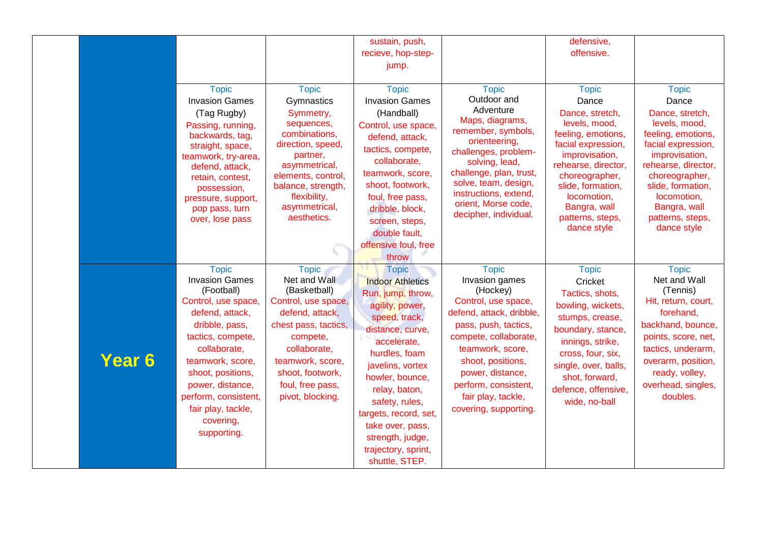|               |                                       |                                    | sustain, push,          |                                        | defensive,                          |                                  |
|---------------|---------------------------------------|------------------------------------|-------------------------|----------------------------------------|-------------------------------------|----------------------------------|
|               |                                       |                                    | recieve, hop-step-      |                                        | offensive.                          |                                  |
|               |                                       |                                    | jump.                   |                                        |                                     |                                  |
|               |                                       |                                    |                         |                                        |                                     |                                  |
|               | <b>Topic</b>                          | <b>Topic</b>                       | <b>Topic</b>            | <b>Topic</b>                           | <b>Topic</b>                        | <b>Topic</b>                     |
|               | <b>Invasion Games</b>                 | Gymnastics                         | <b>Invasion Games</b>   | Outdoor and                            | Dance                               | Dance                            |
|               | (Tag Rugby)                           | Symmetry,                          | (Handball)              | Adventure                              | Dance, stretch,                     | Dance, stretch,                  |
|               | Passing, running,                     | sequences,                         | Control, use space,     | Maps, diagrams,                        | levels, mood,                       | levels, mood,                    |
|               | backwards, tag,                       | combinations,                      | defend, attack,         | remember, symbols,                     | feeling, emotions,                  | feeling, emotions,               |
|               | straight, space,                      | direction, speed,                  | tactics, compete,       | orienteering,                          | facial expression,                  | facial expression,               |
|               | teamwork, try-area,                   | partner,                           | collaborate,            | challenges, problem-<br>solving, lead, | improvisation,                      | improvisation,                   |
|               | defend, attack,                       | asymmetrical,                      | teamwork, score,        | challenge, plan, trust,                | rehearse, director,                 | rehearse, director,              |
|               | retain, contest,                      | elements, control,                 | shoot, footwork,        | solve, team, design,                   | choreographer,<br>slide, formation, | choreographer,                   |
|               | possession,                           | balance, strength,<br>flexibility, | foul, free pass,        | instructions, extend,                  | locomotion,                         | slide, formation,<br>locomotion, |
|               | pressure, support,<br>pop pass, turn  | asymmetrical,                      | dribble, block,         | orient, Morse code,                    | Bangra, wall                        | Bangra, wall                     |
|               | over, lose pass                       | aesthetics.                        | screen, steps,          | decipher, individual.                  | patterns, steps,                    | patterns, steps,                 |
|               |                                       |                                    | double fault,           |                                        | dance style                         | dance style                      |
|               |                                       |                                    | offensive foul, free    |                                        |                                     |                                  |
|               |                                       |                                    | throw                   |                                        |                                     |                                  |
|               |                                       |                                    |                         |                                        |                                     |                                  |
|               | <b>Topic</b><br><b>Invasion Games</b> | <b>Topic</b><br>Net and Wall       | <b>Topic</b>            | <b>Topic</b><br>Invasion games         | <b>Topic</b>                        | <b>Topic</b><br>Net and Wall     |
|               | (Football)                            | (Basketball)                       | <b>Indoor Athletics</b> | (Hockey)                               | Cricket                             | (Tennis)                         |
|               | Control, use space,                   | Control, use space,                | Run, jump, throw,       | Control, use space,                    | Tactics, shots,                     | Hit, return, court,              |
|               | defend, attack,                       | defend, attack,                    | agility, power,         | defend, attack, dribble,               | bowling, wickets,                   | forehand,                        |
|               | dribble, pass,                        | chest pass, tactics,               | speed, track,           | pass, push, tactics,                   | stumps, crease,                     | backhand, bounce,                |
|               | tactics, compete,                     | compete,                           | distance, curve,        | compete, collaborate,                  | boundary, stance,                   | points, score, net,              |
|               | collaborate,                          | collaborate,                       | accelerate,             | teamwork, score,                       | innings, strike,                    | tactics, underarm,               |
| <b>Year 6</b> | teamwork, score,                      | teamwork, score,                   | hurdles, foam           | shoot, positions,                      | cross, four, six,                   | overarm, position,               |
|               | shoot, positions,                     | shoot, footwork,                   | javelins, vortex        | power, distance,                       | single, over, balls,                | ready, volley,                   |
|               | power, distance,                      | foul, free pass,                   | howler, bounce,         | perform, consistent,                   | shot, forward,                      | overhead, singles,               |
|               | perform, consistent,                  | pivot, blocking.                   | relay, baton,           | fair play, tackle,                     | defence, offensive,                 | doubles.                         |
|               | fair play, tackle,                    |                                    | safety, rules,          | covering, supporting.                  | wide, no-ball                       |                                  |
|               | covering,                             |                                    | targets, record, set,   |                                        |                                     |                                  |
|               | supporting.                           |                                    | take over, pass,        |                                        |                                     |                                  |
|               |                                       |                                    | strength, judge,        |                                        |                                     |                                  |
|               |                                       |                                    | trajectory, sprint,     |                                        |                                     |                                  |
|               |                                       |                                    | shuttle, STEP.          |                                        |                                     |                                  |